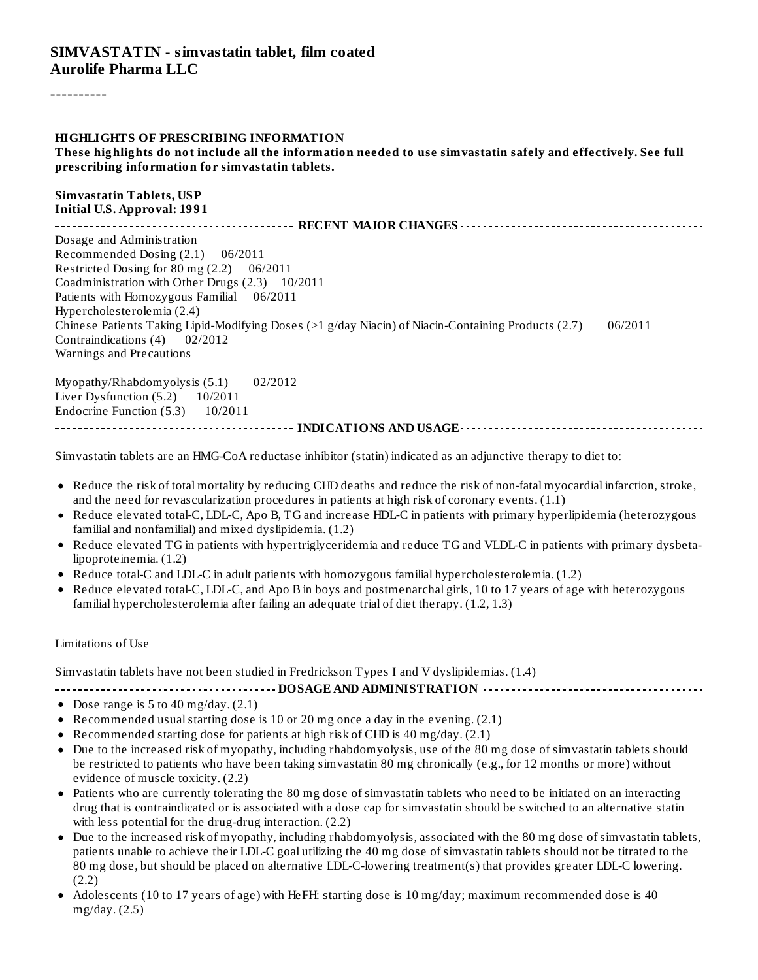### **SIMVASTATIN - simvastatin tablet, film coated Aurolife Pharma LLC**

----------

### **HIGHLIGHTS OF PRESCRIBING INFORMATION** These highlights do not include all the information needed to use simvastatin safely and effectively. See full **prescribing information for simvastatin tablets.**

### **Simvastatin Tablets, USP Initial U.S. Approval: 1991**

**RECENT MAJOR CHANGES** Dosage and Administration Recommended Dosing (2.1) 06/2011 Restricted Dosing for 80 mg (2.2) 06/2011 Coadministration with Other Drugs (2.3) 10/2011 Patients with Homozygous Familial 06/2011 Hypercholesterolemia (2.4) Chinese Patients Taking Lipid-Modifying Doses (≥1 g/day Niacin) of Niacin-Containing Products (2.7) 06/2011 Contraindications (4) 02/2012 Warnings and Precautions Myopathy/Rhabdomyolysis (5.1) 02/2012

Liver Dysfunction (5.2) 10/2011 Endocrine Function (5.3) 10/2011

**INDICATIONS AND USAGE**

Simvastatin tablets are an HMG-CoA reductase inhibitor (statin) indicated as an adjunctive therapy to diet to:

- Reduce the risk of total mortality by reducing CHD deaths and reduce the risk of non-fatal myocardial infarction, stroke, and the need for revascularization procedures in patients at high risk of coronary events. (1.1)
- Reduce elevated total-C, LDL-C, Apo B, TG and increase HDL-C in patients with primary hyperlipidemia (heterozygous  $\bullet$ familial and nonfamilial) and mixed dyslipidemia. (1.2)
- Reduce elevated TG in patients with hypertriglyceridemia and reduce TG and VLDL-C in patients with primary dysbeta- $\bullet$ lipoproteinemia. (1.2)
- Reduce total-C and LDL-C in adult patients with homozygous familial hypercholesterolemia. (1.2)
- Reduce elevated total-C, LDL-C, and Apo B in boys and postmenarchal girls, 10 to 17 years of age with heterozygous  $\bullet$ familial hypercholesterolemia after failing an adequate trial of diet therapy. (1.2, 1.3)

### Limitations of Use

Simvastatin tablets have not been studied in Fredrickson Types I and V dyslipidemias. (1.4)

**DOSAGE AND ADMINISTRATION**

- Dose range is  $5 \text{ to } 40 \text{ mg/day.} (2.1)$
- Recommended usualstarting dose is 10 or 20 mg once a day in the evening. (2.1)
- Recommended starting dose for patients at high risk of CHD is 40 mg/day. (2.1)
- Due to the increased risk of myopathy, including rhabdomyolysis, use of the 80 mg dose of simvastatin tablets should be restricted to patients who have been taking simvastatin 80 mg chronically (e.g., for 12 months or more) without evidence of muscle toxicity. (2.2)
- Patients who are currently tolerating the 80 mg dose of simvastatin tablets who need to be initiated on an interacting drug that is contraindicated or is associated with a dose cap for simvastatin should be switched to an alternative statin with less potential for the drug-drug interaction. (2.2)
- Due to the increased risk of myopathy, including rhabdomyolysis, associated with the 80 mg dose of simvastatin tablets, patients unable to achieve their LDL-C goal utilizing the 40 mg dose of simvastatin tablets should not be titrated to the 80 mg dose, but should be placed on alternative LDL-C-lowering treatment(s) that provides greater LDL-C lowering. (2.2)
- Adolescents (10 to 17 years of age) with HeFH: starting dose is 10 mg/day; maximum recommended dose is 40 mg/day. (2.5)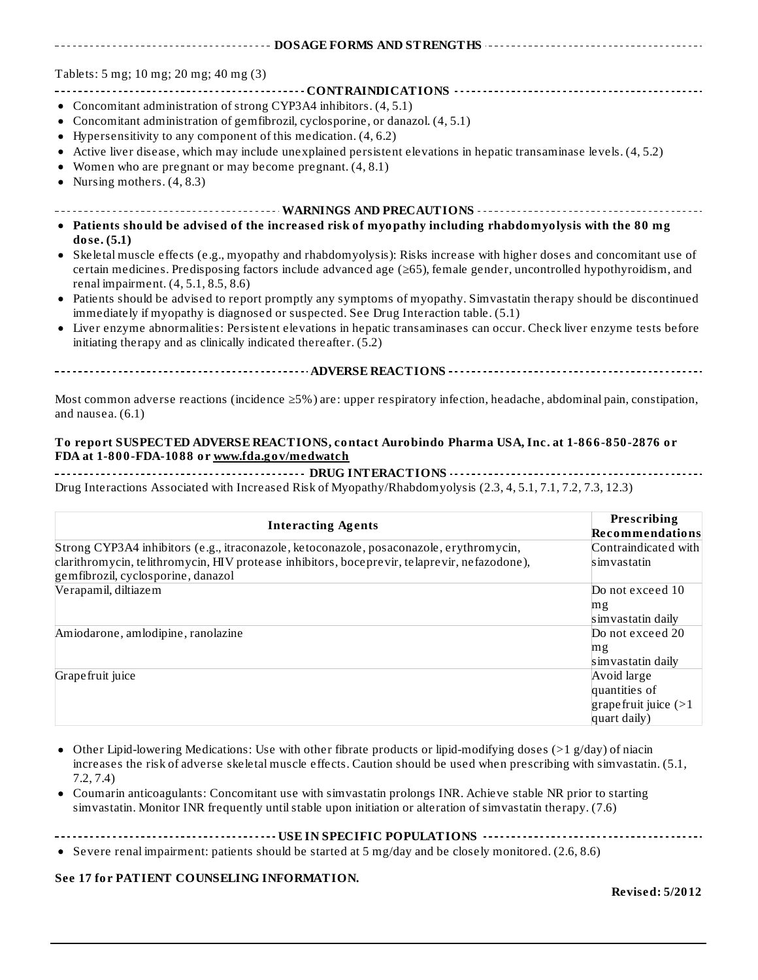| Tablets: 5 mg; 10 mg; 20 mg; 40 mg (3)                                                                                                                                                                                                                                                |
|---------------------------------------------------------------------------------------------------------------------------------------------------------------------------------------------------------------------------------------------------------------------------------------|
|                                                                                                                                                                                                                                                                                       |
| • Concomitant administration of strong CYP3A4 inhibitors. (4, 5.1)                                                                                                                                                                                                                    |
| • Concomitant administration of gemfibrozil, cyclosporine, or danazol. (4, 5.1)                                                                                                                                                                                                       |
| • Hypersensitivity to any component of this medication. $(4, 6.2)$                                                                                                                                                                                                                    |
| • Active liver disease, which may include unexplained persistent elevations in hepatic transaminase levels. (4, 5.2)                                                                                                                                                                  |
| • Women who are pregnant or may become pregnant. (4, 8.1)                                                                                                                                                                                                                             |
| • Nursing mothers. $(4, 8.3)$                                                                                                                                                                                                                                                         |
|                                                                                                                                                                                                                                                                                       |
| • Patients should be advised of the increased risk of myopathy including rhabdomyolysis with the 80 mg                                                                                                                                                                                |
| dose. (5.1)                                                                                                                                                                                                                                                                           |
| • Skeletal muscle effects (e.g., myopathy and rhabdomyolysis): Risks increase with higher doses and concomitant use of<br>certain medicines. Predisposing factors include advanced age (≥65), female gender, uncontrolled hypothyroidism, and<br>renal impairment. (4, 5.1, 8.5, 8.6) |

- Patients should be advised to report promptly any symptoms of myopathy. Simvastatin therapy should be discontinued immediately if myopathy is diagnosed or suspected. See Drug Interaction table. (5.1)
- Liver enzyme abnormalities: Persistent elevations in hepatic transaminases can occur. Check liver enzyme tests before  $\bullet$ initiating therapy and as clinically indicated thereafter. (5.2)

#### **ADVERSE REACTIONS**

Most common adverse reactions (incidence ≥5%) are: upper respiratory infection, headache, abdominal pain, constipation, and nausea. (6.1)

### **To report SUSPECTED ADVERSE REACTIONS, contact Aurobindo Pharma USA, Inc. at 1-866-850-2876 or FDA at 1-800-FDA-1088 or www.fda.gov/medwatch**

**DRUG INTERACTIONS** Drug Interactions Associated with Increased Risk of Myopathy/Rhabdomyolysis (2.3, 4, 5.1, 7.1, 7.2, 7.3, 12.3)

| <b>Interacting Agents</b>                                                                    | Prescribing<br>Recommendations |
|----------------------------------------------------------------------------------------------|--------------------------------|
| Strong CYP3A4 inhibitors (e.g., itraconazole, ketoconazole, posaconazole, erythromycin,      | Contraindicated with           |
| clarithromycin, telithromycin, HIV protease inhibitors, boceprevir, telaprevir, nefazodone), | simvastatin                    |
| gemfibrozil, cyclosporine, danazol                                                           |                                |
| Verapamil, diltiazem                                                                         | Do not exceed 10               |
|                                                                                              | mg                             |
|                                                                                              | simvastatin daily              |
| Amiodarone, amlodipine, ranolazine                                                           | Do not exceed 20               |
|                                                                                              | mg                             |
|                                                                                              | simvastatin daily              |
| Grape fruit juice                                                                            | Avoid large                    |
|                                                                                              | quantities of                  |
|                                                                                              | grape fruit juice $($ >1       |
|                                                                                              | quart daily)                   |

- Other Lipid-lowering Medications: Use with other fibrate products or lipid-modifying doses (>1 g/day) of niacin increases the risk of adverse skeletal muscle effects. Caution should be used when prescribing with simvastatin. (5.1, 7.2, 7.4)
- Coumarin anticoagulants: Concomitant use with simvastatin prolongs INR. Achieve stable NR prior to starting simvastatin. Monitor INR frequently until stable upon initiation or alteration of simvastatin therapy. (7.6)

**USE IN SPECIFIC POPULATIONS**

Severe renal impairment: patients should be started at 5 mg/day and be closely monitored. (2.6, 8.6)

### **See 17 for PATIENT COUNSELING INFORMATION.**

**Revised: 5/2012**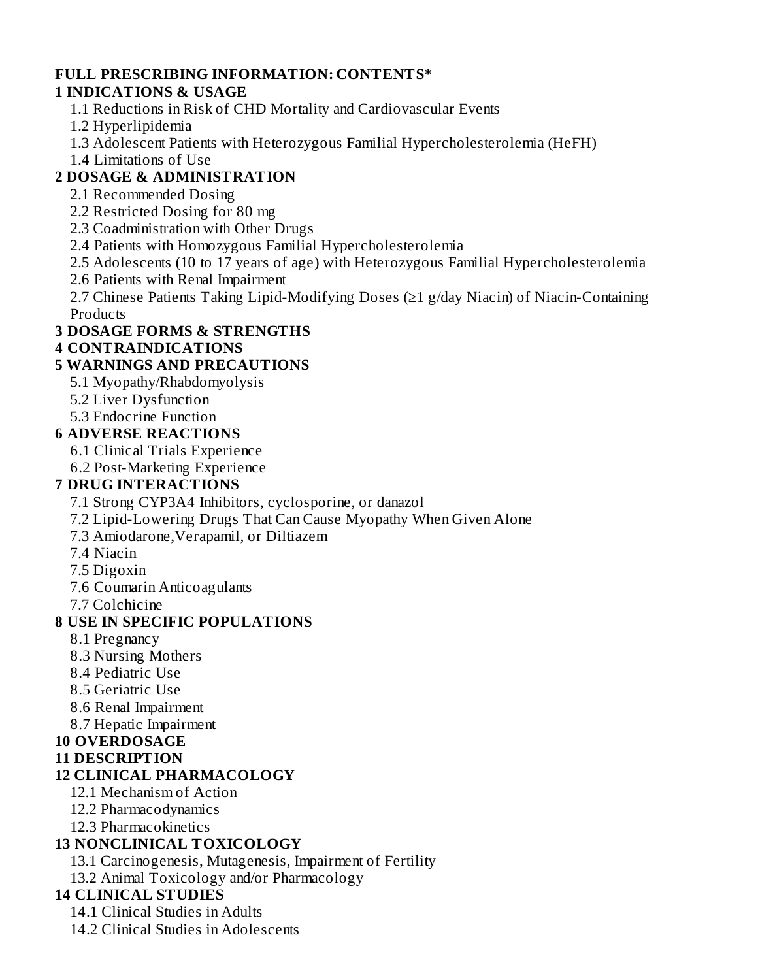# **FULL PRESCRIBING INFORMATION: CONTENTS\***

### **1 INDICATIONS & USAGE**

1.1 Reductions in Risk of CHD Mortality and Cardiovascular Events

- 1.2 Hyperlipidemia
- 1.3 Adolescent Patients with Heterozygous Familial Hypercholesterolemia (HeFH)
- 1.4 Limitations of Use

# **2 DOSAGE & ADMINISTRATION**

- 2.1 Recommended Dosing
- 2.2 Restricted Dosing for 80 mg
- 2.3 Coadministration with Other Drugs
- 2.4 Patients with Homozygous Familial Hypercholesterolemia
- 2.5 Adolescents (10 to 17 years of age) with Heterozygous Familial Hypercholesterolemia
- 2.6 Patients with Renal Impairment

2.7 Chinese Patients Taking Lipid-Modifying Doses (≥1 g/day Niacin) of Niacin-Containing **Products** 

# **3 DOSAGE FORMS & STRENGTHS**

# **4 CONTRAINDICATIONS**

# **5 WARNINGS AND PRECAUTIONS**

- 5.1 Myopathy/Rhabdomyolysis
- 5.2 Liver Dysfunction
- 5.3 Endocrine Function

# **6 ADVERSE REACTIONS**

- 6.1 Clinical Trials Experience
- 6.2 Post-Marketing Experience

# **7 DRUG INTERACTIONS**

- 7.1 Strong CYP3A4 Inhibitors, cyclosporine, or danazol
- 7.2 Lipid-Lowering Drugs That Can Cause Myopathy When Given Alone
- 7.3 Amiodarone,Verapamil, or Diltiazem
- 7.4 Niacin
- 7.5 Digoxin
- 7.6 Coumarin Anticoagulants
- 7.7 Colchicine

# **8 USE IN SPECIFIC POPULATIONS**

- 8.1 Pregnancy
- 8.3 Nursing Mothers
- 8.4 Pediatric Use
- 8.5 Geriatric Use
- 8.6 Renal Impairment
- 8.7 Hepatic Impairment

# **10 OVERDOSAGE**

# **11 DESCRIPTION**

# **12 CLINICAL PHARMACOLOGY**

- 12.1 Mechanism of Action
- 12.2 Pharmacodynamics
- 12.3 Pharmacokinetics

# **13 NONCLINICAL TOXICOLOGY**

13.1 Carcinogenesis, Mutagenesis, Impairment of Fertility

# 13.2 Animal Toxicology and/or Pharmacology

# **14 CLINICAL STUDIES**

- 14.1 Clinical Studies in Adults
- 14.2 Clinical Studies in Adolescents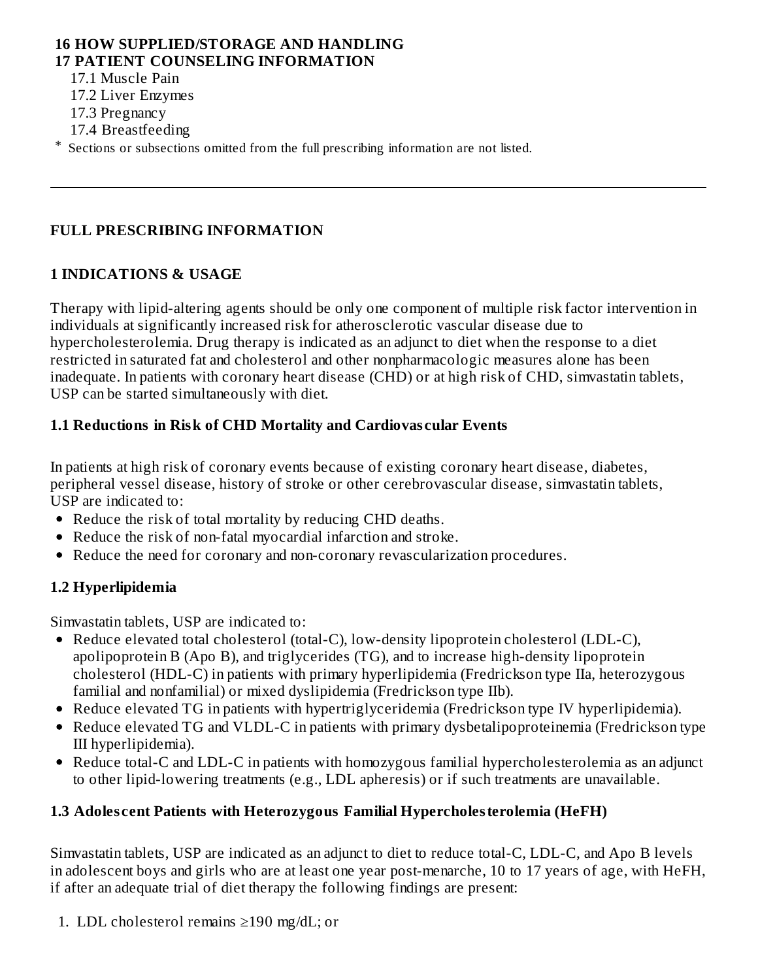### **16 HOW SUPPLIED/STORAGE AND HANDLING 17 PATIENT COUNSELING INFORMATION**

17.1 Muscle Pain 17.2 Liver Enzymes 17.3 Pregnancy

17.4 Breastfeeding

\* Sections or subsections omitted from the full prescribing information are not listed.

### **FULL PRESCRIBING INFORMATION**

### **1 INDICATIONS & USAGE**

Therapy with lipid-altering agents should be only one component of multiple risk factor intervention in individuals at significantly increased risk for atherosclerotic vascular disease due to hypercholesterolemia. Drug therapy is indicated as an adjunct to diet when the response to a diet restricted in saturated fat and cholesterol and other nonpharmacologic measures alone has been inadequate. In patients with coronary heart disease (CHD) or at high risk of CHD, simvastatin tablets, USP can be started simultaneously with diet.

## **1.1 Reductions in Risk of CHD Mortality and Cardiovas cular Events**

In patients at high risk of coronary events because of existing coronary heart disease, diabetes, peripheral vessel disease, history of stroke or other cerebrovascular disease, simvastatin tablets, USP are indicated to:

- Reduce the risk of total mortality by reducing CHD deaths.
- Reduce the risk of non-fatal myocardial infarction and stroke.
- Reduce the need for coronary and non-coronary revascularization procedures.

# **1.2 Hyperlipidemia**

Simvastatin tablets, USP are indicated to:

- Reduce elevated total cholesterol (total-C), low-density lipoprotein cholesterol (LDL-C), apolipoprotein B (Apo B), and triglycerides (TG), and to increase high-density lipoprotein cholesterol (HDL-C) in patients with primary hyperlipidemia (Fredrickson type IIa, heterozygous familial and nonfamilial) or mixed dyslipidemia (Fredrickson type IIb).
- Reduce elevated TG in patients with hypertriglyceridemia (Fredrickson type IV hyperlipidemia).
- Reduce elevated TG and VLDL-C in patients with primary dysbetalipoproteinemia (Fredrickson type III hyperlipidemia).
- Reduce total-C and LDL-C in patients with homozygous familial hypercholesterolemia as an adjunct to other lipid-lowering treatments (e.g., LDL apheresis) or if such treatments are unavailable.

# **1.3 Adoles cent Patients with Heterozygous Familial Hypercholesterolemia (HeFH)**

Simvastatin tablets, USP are indicated as an adjunct to diet to reduce total-C, LDL-C, and Apo B levels in adolescent boys and girls who are at least one year post-menarche, 10 to 17 years of age, with HeFH, if after an adequate trial of diet therapy the following findings are present:

1. LDL cholesterol remains ≥190 mg/dL; or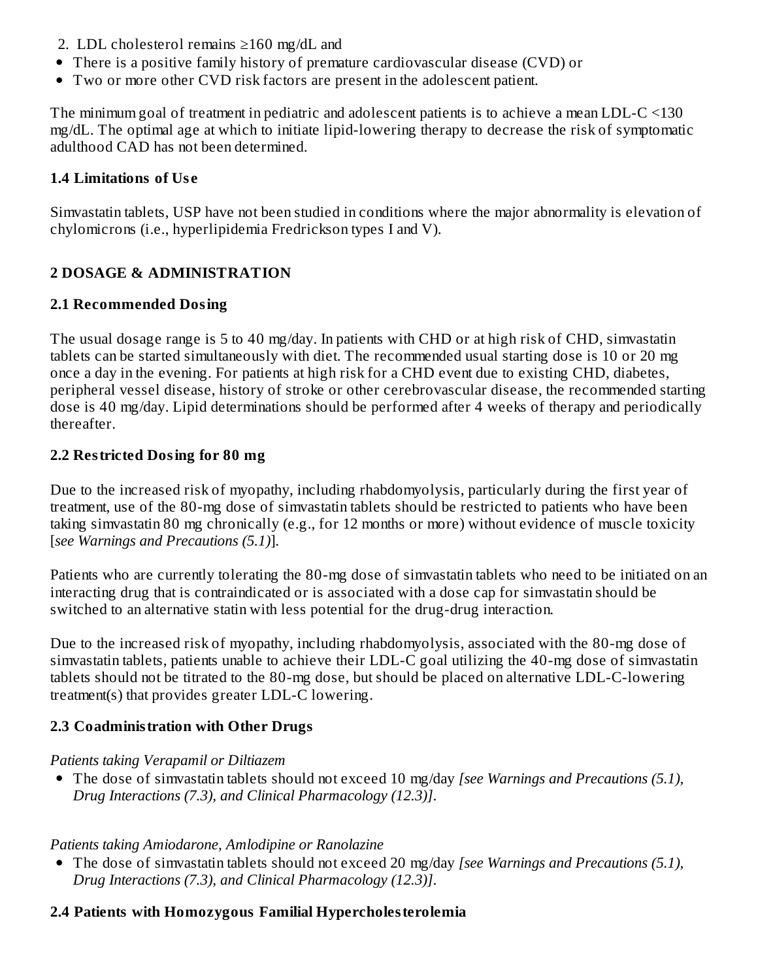- 2. LDL cholesterol remains ≥160 mg/dL and
- There is a positive family history of premature cardiovascular disease (CVD) or
- Two or more other CVD risk factors are present in the adolescent patient.

The minimum goal of treatment in pediatric and adolescent patients is to achieve a mean LDL-C <130 mg/dL. The optimal age at which to initiate lipid-lowering therapy to decrease the risk of symptomatic adulthood CAD has not been determined.

### **1.4 Limitations of Us e**

Simvastatin tablets, USP have not been studied in conditions where the major abnormality is elevation of chylomicrons (i.e., hyperlipidemia Fredrickson types I and V).

# **2 DOSAGE & ADMINISTRATION**

## **2.1 Recommended Dosing**

The usual dosage range is 5 to 40 mg/day. In patients with CHD or at high risk of CHD, simvastatin tablets can be started simultaneously with diet. The recommended usual starting dose is 10 or 20 mg once a day in the evening. For patients at high risk for a CHD event due to existing CHD, diabetes, peripheral vessel disease, history of stroke or other cerebrovascular disease, the recommended starting dose is 40 mg/day. Lipid determinations should be performed after 4 weeks of therapy and periodically thereafter.

## **2.2 Restricted Dosing for 80 mg**

Due to the increased risk of myopathy, including rhabdomyolysis, particularly during the first year of treatment, use of the 80-mg dose of simvastatin tablets should be restricted to patients who have been taking simvastatin 80 mg chronically (e.g., for 12 months or more) without evidence of muscle toxicity [*see Warnings and Precautions (5.1)*].

Patients who are currently tolerating the 80-mg dose of simvastatin tablets who need to be initiated on an interacting drug that is contraindicated or is associated with a dose cap for simvastatin should be switched to an alternative statin with less potential for the drug-drug interaction.

Due to the increased risk of myopathy, including rhabdomyolysis, associated with the 80-mg dose of simvastatin tablets, patients unable to achieve their LDL-C goal utilizing the 40-mg dose of simvastatin tablets should not be titrated to the 80-mg dose, but should be placed on alternative LDL-C-lowering treatment(s) that provides greater LDL-C lowering.

# **2.3 Coadministration with Other Drugs**

*Patients taking Verapamil or Diltiazem*

The dose of simvastatin tablets should not exceed 10 mg/day *[see Warnings and Precautions (5.1), Drug Interactions (7.3), and Clinical Pharmacology (12.3)]*.

# *Patients taking Amiodarone, Amlodipine or Ranolazine*

The dose of simvastatin tablets should not exceed 20 mg/day *[see Warnings and Precautions (5.1), Drug Interactions (7.3), and Clinical Pharmacology (12.3)]*.

# **2.4 Patients with Homozygous Familial Hypercholesterolemia**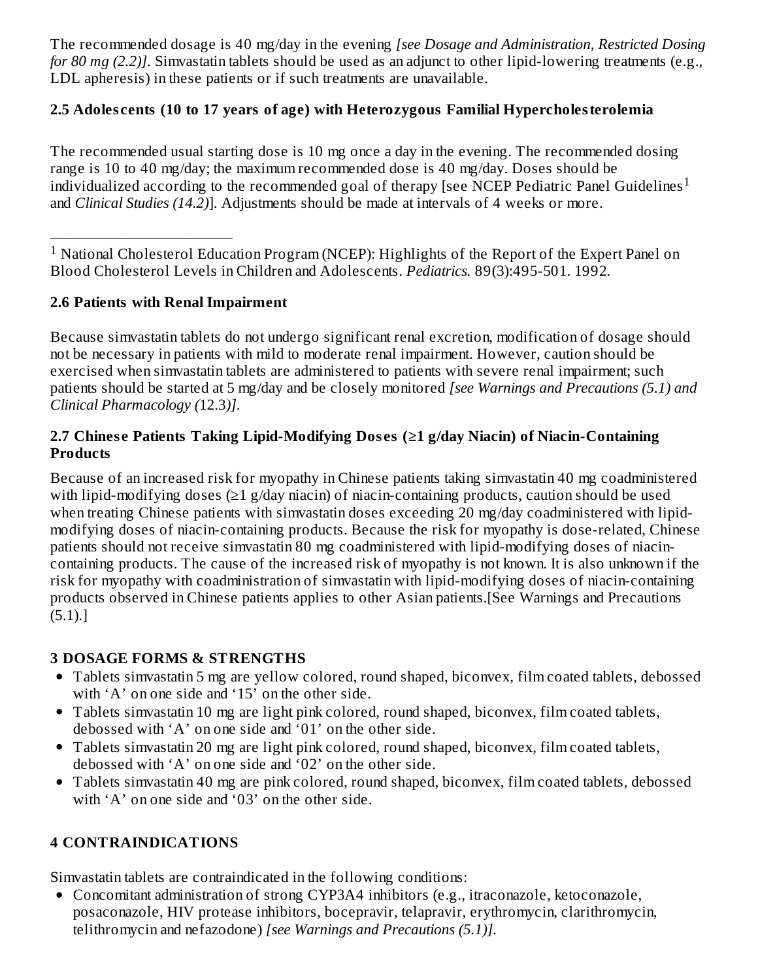The recommended dosage is 40 mg/day in the evening *[see Dosage and Administration, Restricted Dosing for 80 mg (2.2)]*. Simvastatin tablets should be used as an adjunct to other lipid-lowering treatments (e.g., LDL apheresis) in these patients or if such treatments are unavailable.

## **2.5 Adoles cents (10 to 17 years of age) with Heterozygous Familial Hypercholesterolemia**

The recommended usual starting dose is 10 mg once a day in the evening. The recommended dosing range is 10 to 40 mg/day; the maximum recommended dose is 40 mg/day. Doses should be individualized according to the recommended goal of therapy [see NCEP Pediatric Panel Guidelines $^1$ and *Clinical Studies (14.2)*]. Adjustments should be made at intervals of 4 weeks or more.

———————————— <sup>1</sup> National Cholesterol Education Program (NCEP): Highlights of the Report of the Expert Panel on Blood Cholesterol Levels in Children and Adolescents. *Pediatrics.* 89(3):495-501. 1992.

## **2.6 Patients with Renal Impairment**

Because simvastatin tablets do not undergo significant renal excretion, modification of dosage should not be necessary in patients with mild to moderate renal impairment. However, caution should be exercised when simvastatin tablets are administered to patients with severe renal impairment; such patients should be started at 5 mg/day and be closely monitored *[see Warnings and Precautions (5.1) and Clinical Pharmacology (*12.3*)]*.

### **2.7 Chines e Patients Taking Lipid-Modifying Dos es (≥1 g/day Niacin) of Niacin-Containing Products**

Because of an increased risk for myopathy in Chinese patients taking simvastatin 40 mg coadministered with lipid-modifying doses  $(\geq 1 \text{ g/day}$  niacin) of niacin-containing products, caution should be used when treating Chinese patients with simvastatin doses exceeding 20 mg/day coadministered with lipidmodifying doses of niacin-containing products. Because the risk for myopathy is dose-related, Chinese patients should not receive simvastatin 80 mg coadministered with lipid-modifying doses of niacincontaining products. The cause of the increased risk of myopathy is not known. It is also unknown if the risk for myopathy with coadministration of simvastatin with lipid-modifying doses of niacin-containing products observed in Chinese patients applies to other Asian patients.[See Warnings and Precautions  $(5.1).$ 

### **3 DOSAGE FORMS & STRENGTHS**

- Tablets simvastatin 5 mg are yellow colored, round shaped, biconvex, film coated tablets, debossed with 'A' on one side and '15' on the other side.
- Tablets simvastatin 10 mg are light pink colored, round shaped, biconvex, film coated tablets, debossed with 'A' on one side and '01' on the other side.
- Tablets simvastatin 20 mg are light pink colored, round shaped, biconvex, film coated tablets, debossed with 'A' on one side and '02' on the other side.
- Tablets simvastatin 40 mg are pink colored, round shaped, biconvex, film coated tablets, debossed with 'A' on one side and '03' on the other side.

# **4 CONTRAINDICATIONS**

Simvastatin tablets are contraindicated in the following conditions:

Concomitant administration of strong CYP3A4 inhibitors (e.g., itraconazole, ketoconazole, posaconazole, HIV protease inhibitors, bocepravir, telapravir, erythromycin, clarithromycin, telithromycin and nefazodone) *[see Warnings and Precautions (5.1)]*.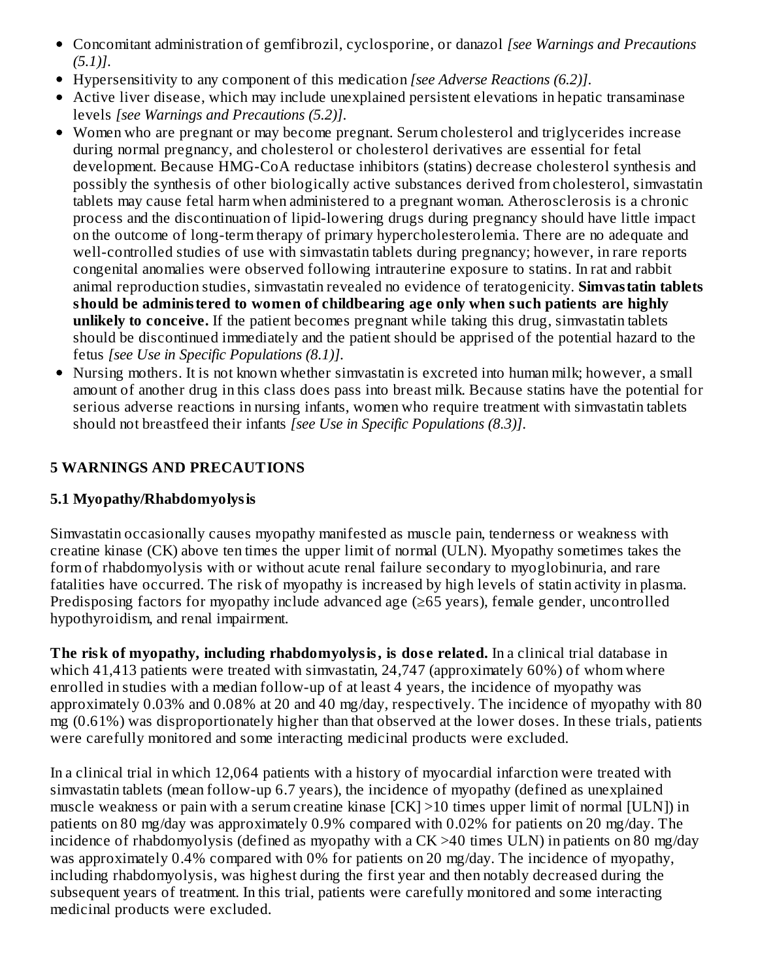- Concomitant administration of gemfibrozil, cyclosporine, or danazol *[see Warnings and Precautions (5.1)]*.
- Hypersensitivity to any component of this medication *[see Adverse Reactions (6.2)]*.
- Active liver disease, which may include unexplained persistent elevations in hepatic transaminase levels *[see Warnings and Precautions (5.2)]*.
- Women who are pregnant or may become pregnant. Serum cholesterol and triglycerides increase during normal pregnancy, and cholesterol or cholesterol derivatives are essential for fetal development. Because HMG-CoA reductase inhibitors (statins) decrease cholesterol synthesis and possibly the synthesis of other biologically active substances derived from cholesterol, simvastatin tablets may cause fetal harm when administered to a pregnant woman. Atherosclerosis is a chronic process and the discontinuation of lipid-lowering drugs during pregnancy should have little impact on the outcome of long-term therapy of primary hypercholesterolemia. There are no adequate and well-controlled studies of use with simvastatin tablets during pregnancy; however, in rare reports congenital anomalies were observed following intrauterine exposure to statins. In rat and rabbit animal reproduction studies, simvastatin revealed no evidence of teratogenicity. **Simvastatin tablets should be administered to women of childbearing age only when such patients are highly unlikely to conceive.** If the patient becomes pregnant while taking this drug, simvastatin tablets should be discontinued immediately and the patient should be apprised of the potential hazard to the fetus *[see Use in Specific Populations (8.1)]*.
- Nursing mothers. It is not known whether simvastatin is excreted into human milk; however, a small amount of another drug in this class does pass into breast milk. Because statins have the potential for serious adverse reactions in nursing infants, women who require treatment with simvastatin tablets should not breastfeed their infants *[see Use in Specific Populations (8.3)]*.

# **5 WARNINGS AND PRECAUTIONS**

# **5.1 Myopathy/Rhabdomyolysis**

Simvastatin occasionally causes myopathy manifested as muscle pain, tenderness or weakness with creatine kinase (CK) above ten times the upper limit of normal (ULN). Myopathy sometimes takes the form of rhabdomyolysis with or without acute renal failure secondary to myoglobinuria, and rare fatalities have occurred. The risk of myopathy is increased by high levels of statin activity in plasma. Predisposing factors for myopathy include advanced age (≥65 years), female gender, uncontrolled hypothyroidism, and renal impairment.

**The risk of myopathy, including rhabdomyolysis, is dos e related.** In a clinical trial database in which 41,413 patients were treated with simvastatin, 24,747 (approximately 60%) of whom where enrolled in studies with a median follow-up of at least 4 years, the incidence of myopathy was approximately 0.03% and 0.08% at 20 and 40 mg/day, respectively. The incidence of myopathy with 80 mg (0.61%) was disproportionately higher than that observed at the lower doses. In these trials, patients were carefully monitored and some interacting medicinal products were excluded.

In a clinical trial in which 12,064 patients with a history of myocardial infarction were treated with simvastatin tablets (mean follow-up 6.7 years), the incidence of myopathy (defined as unexplained muscle weakness or pain with a serum creatine kinase [CK] >10 times upper limit of normal [ULN]) in patients on 80 mg/day was approximately 0.9% compared with 0.02% for patients on 20 mg/day. The incidence of rhabdomyolysis (defined as myopathy with a CK >40 times ULN) in patients on 80 mg/day was approximately 0.4% compared with 0% for patients on 20 mg/day. The incidence of myopathy, including rhabdomyolysis, was highest during the first year and then notably decreased during the subsequent years of treatment. In this trial, patients were carefully monitored and some interacting medicinal products were excluded.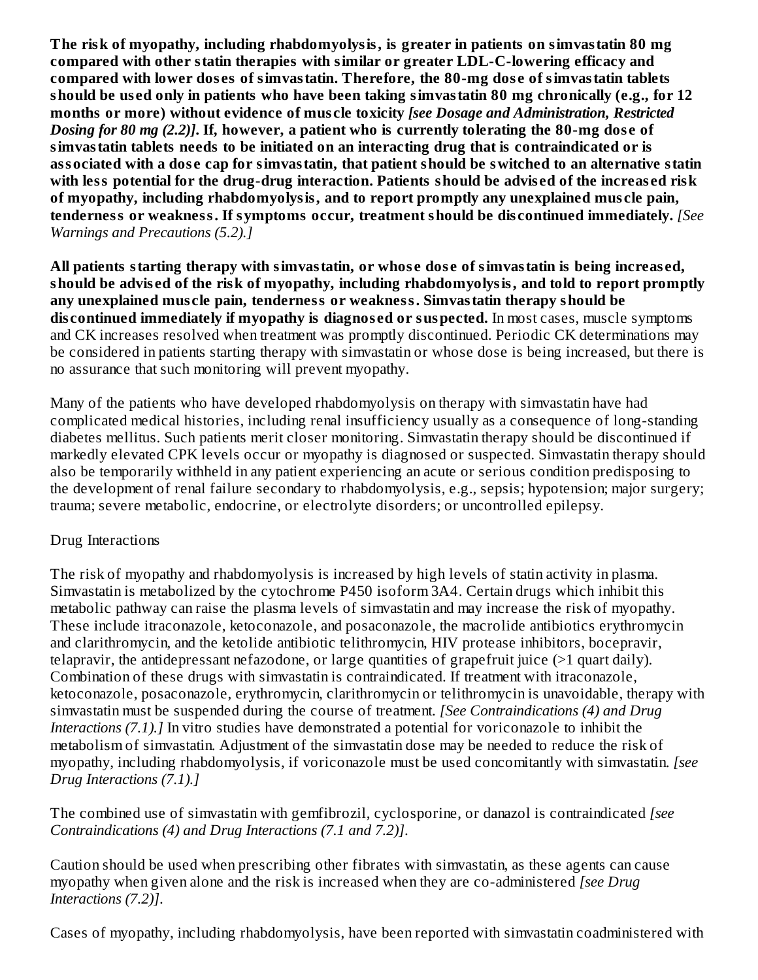**The risk of myopathy, including rhabdomyolysis, is greater in patients on simvastatin 80 mg compared with other statin therapies with similar or greater LDL-C-lowering efficacy and compared with lower dos es of simvastatin. Therefore, the 80-mg dos e of simvastatin tablets should be us ed only in patients who have been taking simvastatin 80 mg chronically (e.g., for 12 months or more) without evidence of mus cle toxicity** *[see Dosage and Administration, Restricted* Dosing for 80 mg (2.2)]. If, however, a patient who is currently tolerating the 80-mg dose of **simvastatin tablets needs to be initiated on an interacting drug that is contraindicated or is associated with a dos e cap for simvastatin, that patient should be switched to an alternative statin with less potential for the drug-drug interaction. Patients should be advis ed of the increas ed risk of myopathy, including rhabdomyolysis, and to report promptly any unexplained mus cle pain, tenderness or weakness. If symptoms occur, treatment should be dis continued immediately.** *[See Warnings and Precautions (5.2).]*

**All patients starting therapy with simvastatin, or whos e dos e of simvastatin is being increas ed, should be advis ed of the risk of myopathy, including rhabdomyolysis, and told to report promptly any unexplained mus cle pain, tenderness or weakness. Simvastatin therapy should be dis continued immediately if myopathy is diagnos ed or suspected.** In most cases, muscle symptoms and CK increases resolved when treatment was promptly discontinued. Periodic CK determinations may be considered in patients starting therapy with simvastatin or whose dose is being increased, but there is no assurance that such monitoring will prevent myopathy.

Many of the patients who have developed rhabdomyolysis on therapy with simvastatin have had complicated medical histories, including renal insufficiency usually as a consequence of long-standing diabetes mellitus. Such patients merit closer monitoring. Simvastatin therapy should be discontinued if markedly elevated CPK levels occur or myopathy is diagnosed or suspected. Simvastatin therapy should also be temporarily withheld in any patient experiencing an acute or serious condition predisposing to the development of renal failure secondary to rhabdomyolysis, e.g., sepsis; hypotension; major surgery; trauma; severe metabolic, endocrine, or electrolyte disorders; or uncontrolled epilepsy.

### Drug Interactions

The risk of myopathy and rhabdomyolysis is increased by high levels of statin activity in plasma. Simvastatin is metabolized by the cytochrome P450 isoform 3A4. Certain drugs which inhibit this metabolic pathway can raise the plasma levels of simvastatin and may increase the risk of myopathy. These include itraconazole, ketoconazole, and posaconazole, the macrolide antibiotics erythromycin and clarithromycin, and the ketolide antibiotic telithromycin, HIV protease inhibitors, bocepravir, telapravir, the antidepressant nefazodone, or large quantities of grapefruit juice (>1 quart daily). Combination of these drugs with simvastatin is contraindicated. If treatment with itraconazole, ketoconazole, posaconazole, erythromycin, clarithromycin or telithromycin is unavoidable, therapy with simvastatin must be suspended during the course of treatment. *[See Contraindications (4) and Drug Interactions (7.1).]* In vitro studies have demonstrated a potential for voriconazole to inhibit the metabolism of simvastatin. Adjustment of the simvastatin dose may be needed to reduce the risk of myopathy, including rhabdomyolysis, if voriconazole must be used concomitantly with simvastatin. *[see Drug Interactions (7.1).]*

The combined use of simvastatin with gemfibrozil, cyclosporine, or danazol is contraindicated *[see Contraindications (4) and Drug Interactions (7.1 and 7.2)]*.

Caution should be used when prescribing other fibrates with simvastatin, as these agents can cause myopathy when given alone and the risk is increased when they are co-administered *[see Drug Interactions (7.2)]*.

Cases of myopathy, including rhabdomyolysis, have been reported with simvastatin coadministered with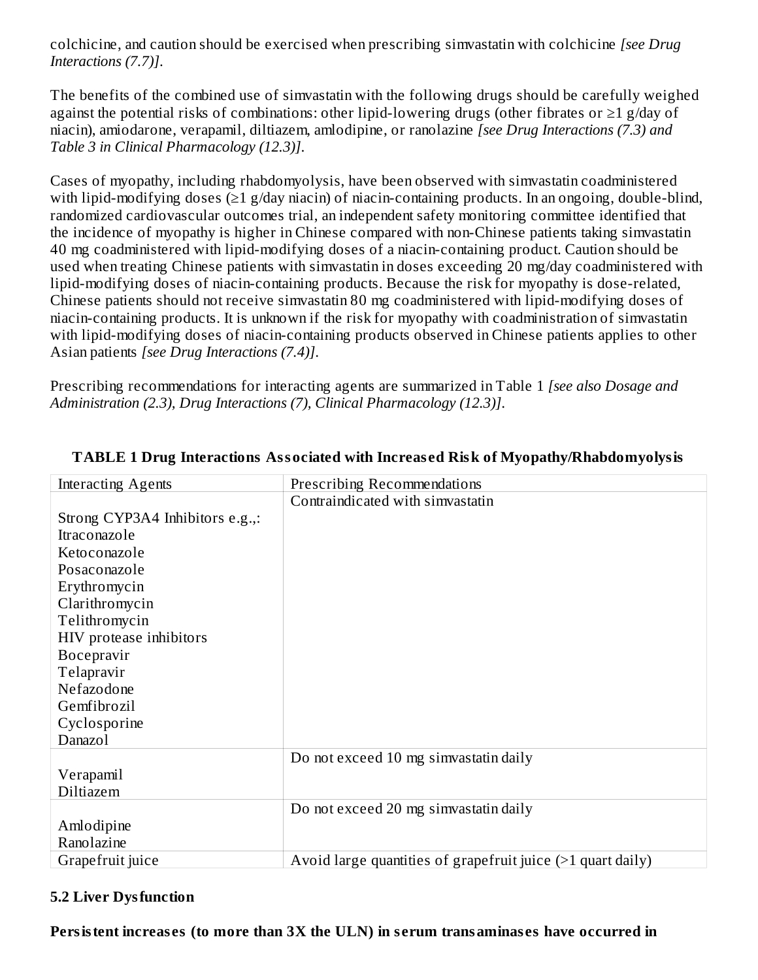colchicine, and caution should be exercised when prescribing simvastatin with colchicine *[see Drug Interactions (7.7)]*.

The benefits of the combined use of simvastatin with the following drugs should be carefully weighed against the potential risks of combinations: other lipid-lowering drugs (other fibrates or ≥1 g/day of niacin), amiodarone, verapamil, diltiazem, amlodipine, or ranolazine *[see Drug Interactions (7.3) and Table 3 in Clinical Pharmacology (12.3)]*.

Cases of myopathy, including rhabdomyolysis, have been observed with simvastatin coadministered with lipid-modifying doses (≥1 g/day niacin) of niacin-containing products. In an ongoing, double-blind, randomized cardiovascular outcomes trial, an independent safety monitoring committee identified that the incidence of myopathy is higher in Chinese compared with non-Chinese patients taking simvastatin 40 mg coadministered with lipid-modifying doses of a niacin-containing product. Caution should be used when treating Chinese patients with simvastatin in doses exceeding 20 mg/day coadministered with lipid-modifying doses of niacin-containing products. Because the risk for myopathy is dose-related, Chinese patients should not receive simvastatin 80 mg coadministered with lipid-modifying doses of niacin-containing products. It is unknown if the risk for myopathy with coadministration of simvastatin with lipid-modifying doses of niacin-containing products observed in Chinese patients applies to other Asian patients *[see Drug Interactions (7.4)]*.

Prescribing recommendations for interacting agents are summarized in Table 1 *[see also Dosage and Administration (2.3), Drug Interactions (7), Clinical Pharmacology (12.3)]*.

| <b>Interacting Agents</b>       | Prescribing Recommendations                                 |
|---------------------------------|-------------------------------------------------------------|
|                                 | Contraindicated with simvastatin                            |
| Strong CYP3A4 Inhibitors e.g.,: |                                                             |
| Itraconazole                    |                                                             |
| Ketoconazole                    |                                                             |
| Posaconazole                    |                                                             |
| Erythromycin                    |                                                             |
| Clarithromycin                  |                                                             |
| Telithromycin                   |                                                             |
| HIV protease inhibitors         |                                                             |
| Bocepravir                      |                                                             |
| Telapravir                      |                                                             |
| Nefazodone                      |                                                             |
| Gemfibrozil                     |                                                             |
| Cyclosporine                    |                                                             |
| Danazol                         |                                                             |
|                                 | Do not exceed 10 mg simvastatin daily                       |
| Verapamil                       |                                                             |
| Diltiazem                       |                                                             |
|                                 | Do not exceed 20 mg simvastatin daily                       |
| Amlodipine                      |                                                             |
| Ranolazine                      |                                                             |
| Grapefruit juice                | Avoid large quantities of grapefruit juice (>1 quart daily) |

### **TABLE 1 Drug Interactions Associated with Increas ed Risk of Myopathy/Rhabdomyolysis**

### **5.2 Liver Dysfunction**

**Persistent increas es (to more than 3X the ULN) in s erum transaminas es have occurred in**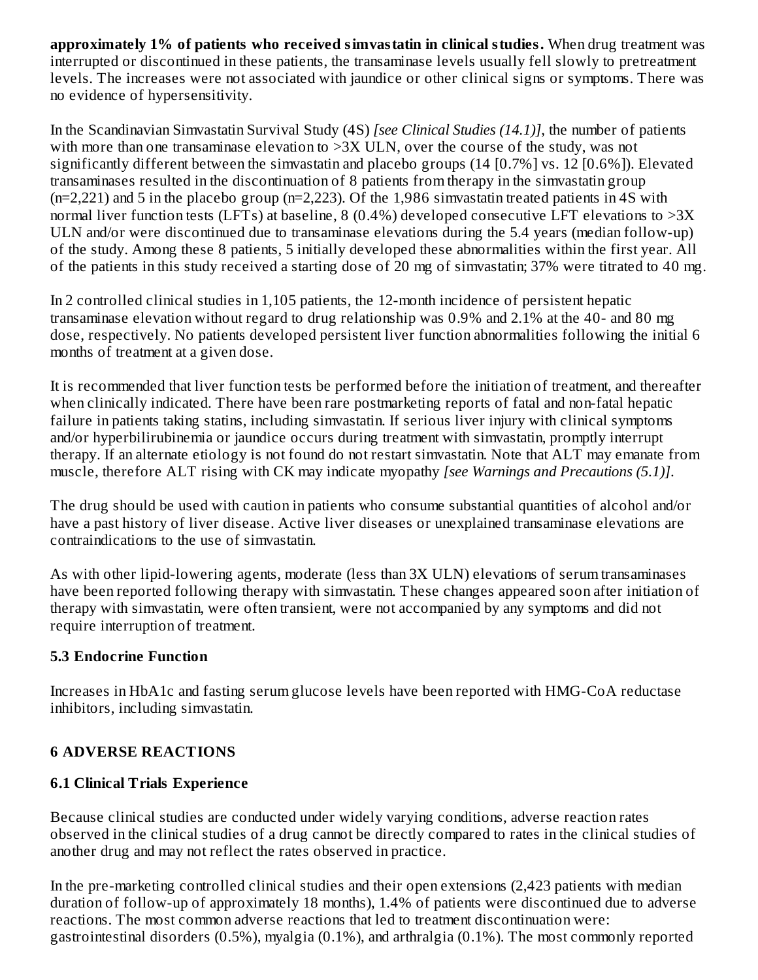**approximately 1% of patients who received simvastatin in clinical studies.** When drug treatment was interrupted or discontinued in these patients, the transaminase levels usually fell slowly to pretreatment levels. The increases were not associated with jaundice or other clinical signs or symptoms. There was no evidence of hypersensitivity.

In the Scandinavian Simvastatin Survival Study (4S) *[see Clinical Studies (14.1)]*, the number of patients with more than one transaminase elevation to >3X ULN, over the course of the study, was not significantly different between the simvastatin and placebo groups (14 [0.7%] vs. 12 [0.6%]). Elevated transaminases resulted in the discontinuation of 8 patients from therapy in the simvastatin group (n=2,221) and 5 in the placebo group (n=2,223). Of the 1,986 simvastatin treated patients in 4S with normal liver function tests (LFTs) at baseline, 8 (0.4%) developed consecutive LFT elevations to  $>3X$ ULN and/or were discontinued due to transaminase elevations during the 5.4 years (median follow-up) of the study. Among these 8 patients, 5 initially developed these abnormalities within the first year. All of the patients in this study received a starting dose of 20 mg of simvastatin; 37% were titrated to 40 mg.

In 2 controlled clinical studies in 1,105 patients, the 12-month incidence of persistent hepatic transaminase elevation without regard to drug relationship was 0.9% and 2.1% at the 40- and 80 mg dose, respectively. No patients developed persistent liver function abnormalities following the initial 6 months of treatment at a given dose.

It is recommended that liver function tests be performed before the initiation of treatment, and thereafter when clinically indicated. There have been rare postmarketing reports of fatal and non-fatal hepatic failure in patients taking statins, including simvastatin. If serious liver injury with clinical symptoms and/or hyperbilirubinemia or jaundice occurs during treatment with simvastatin, promptly interrupt therapy. If an alternate etiology is not found do not restart simvastatin. Note that ALT may emanate from muscle, therefore ALT rising with CK may indicate myopathy *[see Warnings and Precautions (5.1)]*.

The drug should be used with caution in patients who consume substantial quantities of alcohol and/or have a past history of liver disease. Active liver diseases or unexplained transaminase elevations are contraindications to the use of simvastatin.

As with other lipid-lowering agents, moderate (less than 3X ULN) elevations of serum transaminases have been reported following therapy with simvastatin. These changes appeared soon after initiation of therapy with simvastatin, were often transient, were not accompanied by any symptoms and did not require interruption of treatment.

### **5.3 Endocrine Function**

Increases in HbA1c and fasting serum glucose levels have been reported with HMG-CoA reductase inhibitors, including simvastatin.

# **6 ADVERSE REACTIONS**

# **6.1 Clinical Trials Experience**

Because clinical studies are conducted under widely varying conditions, adverse reaction rates observed in the clinical studies of a drug cannot be directly compared to rates in the clinical studies of another drug and may not reflect the rates observed in practice.

In the pre-marketing controlled clinical studies and their open extensions (2,423 patients with median duration of follow-up of approximately 18 months), 1.4% of patients were discontinued due to adverse reactions. The most common adverse reactions that led to treatment discontinuation were: gastrointestinal disorders (0.5%), myalgia (0.1%), and arthralgia (0.1%). The most commonly reported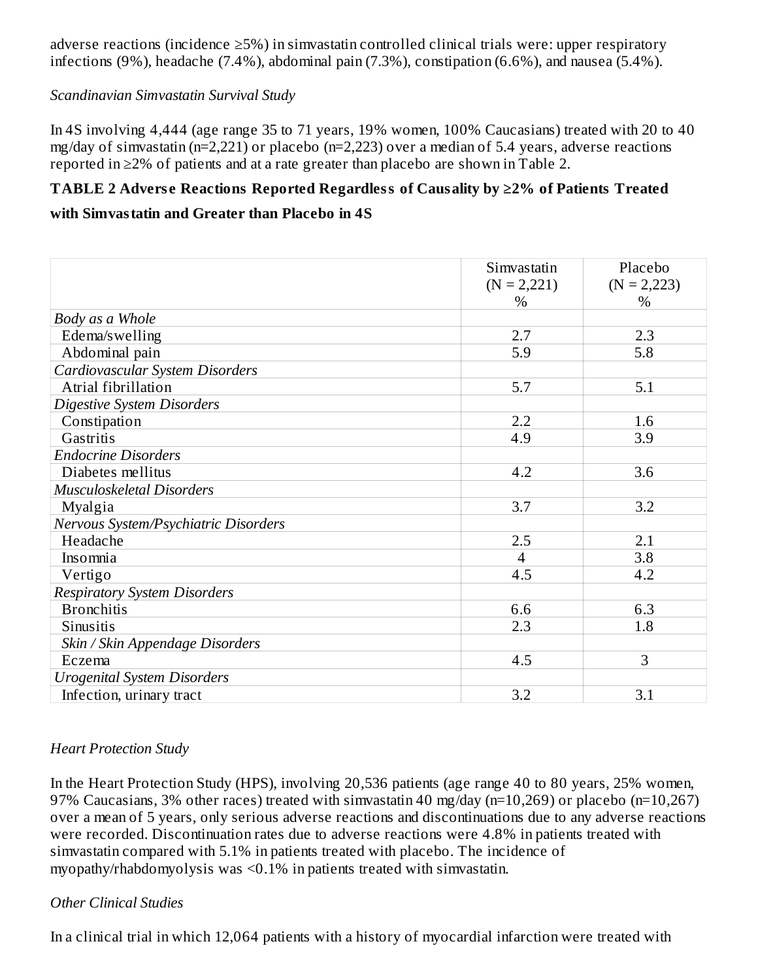adverse reactions (incidence  $\geq$ 5%) in simvastatin controlled clinical trials were: upper respiratory infections (9%), headache (7.4%), abdominal pain (7.3%), constipation (6.6%), and nausea (5.4%).

### *Scandinavian Simvastatin Survival Study*

In 4S involving 4,444 (age range 35 to 71 years, 19% women, 100% Caucasians) treated with 20 to 40 mg/day of simvastatin (n=2,221) or placebo (n=2,223) over a median of 5.4 years, adverse reactions reported in ≥2% of patients and at a rate greater than placebo are shown in Table 2.

# **TABLE 2 Advers e Reactions Reported Regardless of Causality by ≥2% of Patients Treated**

### **with Simvastatin and Greater than Placebo in 4S**

|                                      | Simvastatin    | Placebo       |
|--------------------------------------|----------------|---------------|
|                                      | $(N = 2,221)$  | $(N = 2,223)$ |
|                                      | $\%$           | $\%$          |
| Body as a Whole                      |                |               |
| Edema/swelling                       | 2.7            | 2.3           |
| Abdominal pain                       | 5.9            | 5.8           |
| Cardiovascular System Disorders      |                |               |
| Atrial fibrillation                  | 5.7            | 5.1           |
| <b>Digestive System Disorders</b>    |                |               |
| Constipation                         | 2.2            | 1.6           |
| Gastritis                            | 4.9            | 3.9           |
| <b>Endocrine Disorders</b>           |                |               |
| Diabetes mellitus                    | 4.2            | 3.6           |
| Musculoskeletal Disorders            |                |               |
| Myalgia                              | 3.7            | 3.2           |
| Nervous System/Psychiatric Disorders |                |               |
| Headache                             | 2.5            | 2.1           |
| Insomnia                             | $\overline{4}$ | 3.8           |
| Vertigo                              | 4.5            | 4.2           |
| <b>Respiratory System Disorders</b>  |                |               |
| <b>Bronchitis</b>                    | 6.6            | 6.3           |
| Sinusitis                            | 2.3            | 1.8           |
| Skin / Skin Appendage Disorders      |                |               |
| Eczema                               | 4.5            | 3             |
| <b>Urogenital System Disorders</b>   |                |               |
| Infection, urinary tract             | 3.2            | 3.1           |

### *Heart Protection Study*

In the Heart Protection Study (HPS), involving 20,536 patients (age range 40 to 80 years, 25% women, 97% Caucasians, 3% other races) treated with simvastatin 40 mg/day (n=10,269) or placebo (n=10,267) over a mean of 5 years, only serious adverse reactions and discontinuations due to any adverse reactions were recorded. Discontinuation rates due to adverse reactions were 4.8% in patients treated with simvastatin compared with 5.1% in patients treated with placebo. The incidence of myopathy/rhabdomyolysis was <0.1% in patients treated with simvastatin.

### *Other Clinical Studies*

In a clinical trial in which 12,064 patients with a history of myocardial infarction were treated with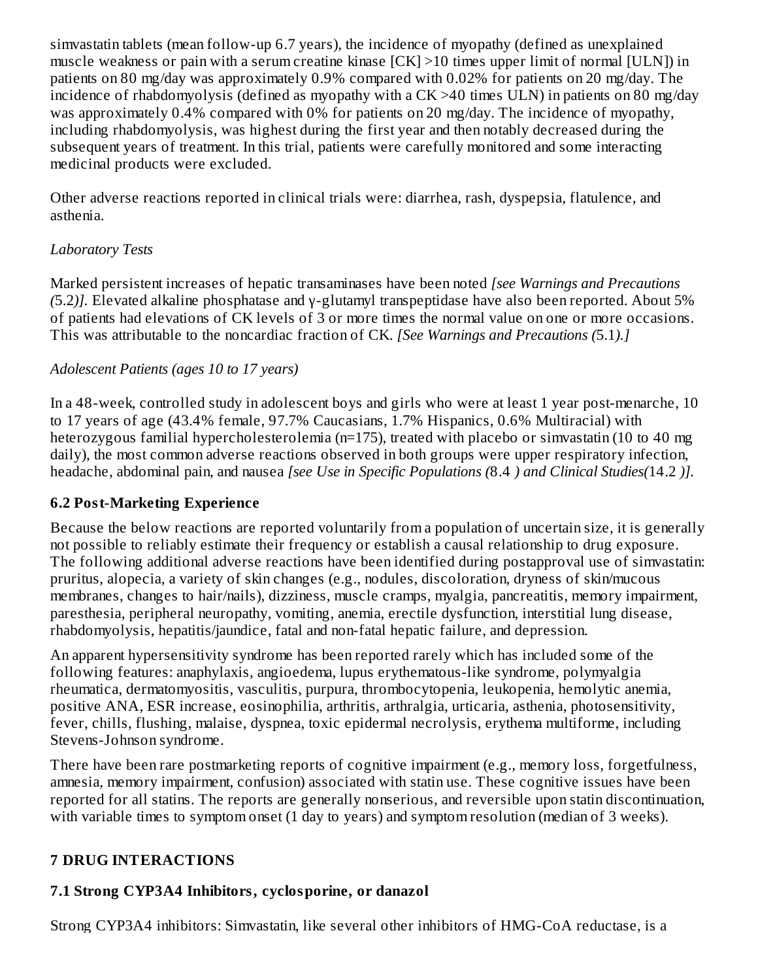simvastatin tablets (mean follow-up 6.7 years), the incidence of myopathy (defined as unexplained muscle weakness or pain with a serum creatine kinase [CK] >10 times upper limit of normal [ULN]) in patients on 80 mg/day was approximately 0.9% compared with 0.02% for patients on 20 mg/day. The incidence of rhabdomyolysis (defined as myopathy with a CK >40 times ULN) in patients on 80 mg/day was approximately 0.4% compared with 0% for patients on 20 mg/day. The incidence of myopathy, including rhabdomyolysis, was highest during the first year and then notably decreased during the subsequent years of treatment. In this trial, patients were carefully monitored and some interacting medicinal products were excluded.

Other adverse reactions reported in clinical trials were: diarrhea, rash, dyspepsia, flatulence, and asthenia.

## *Laboratory Tests*

Marked persistent increases of hepatic transaminases have been noted *[see Warnings and Precautions (*5.2*)].* Elevated alkaline phosphatase and γ-glutamyl transpeptidase have also been reported. About 5% of patients had elevations of CK levels of 3 or more times the normal value on one or more occasions. This was attributable to the noncardiac fraction of CK. *[See Warnings and Precautions (*5.1*).]*

## *Adolescent Patients (ages 10 to 17 years)*

In a 48-week, controlled study in adolescent boys and girls who were at least 1 year post-menarche, 10 to 17 years of age (43.4% female, 97.7% Caucasians, 1.7% Hispanics, 0.6% Multiracial) with heterozygous familial hypercholesterolemia (n=175), treated with placebo or simvastatin (10 to 40 mg daily), the most common adverse reactions observed in both groups were upper respiratory infection, headache, abdominal pain, and nausea *[see Use in Specific Populations (*8.4 *) and Clinical Studies(*14.2 *)].*

### **6.2 Post-Marketing Experience**

Because the below reactions are reported voluntarily from a population of uncertain size, it is generally not possible to reliably estimate their frequency or establish a causal relationship to drug exposure. The following additional adverse reactions have been identified during postapproval use of simvastatin: pruritus, alopecia, a variety of skin changes (e.g., nodules, discoloration, dryness of skin/mucous membranes, changes to hair/nails), dizziness, muscle cramps, myalgia, pancreatitis, memory impairment, paresthesia, peripheral neuropathy, vomiting, anemia, erectile dysfunction, interstitial lung disease, rhabdomyolysis, hepatitis/jaundice, fatal and non-fatal hepatic failure, and depression.

An apparent hypersensitivity syndrome has been reported rarely which has included some of the following features: anaphylaxis, angioedema, lupus erythematous-like syndrome, polymyalgia rheumatica, dermatomyositis, vasculitis, purpura, thrombocytopenia, leukopenia, hemolytic anemia, positive ANA, ESR increase, eosinophilia, arthritis, arthralgia, urticaria, asthenia, photosensitivity, fever, chills, flushing, malaise, dyspnea, toxic epidermal necrolysis, erythema multiforme, including Stevens-Johnson syndrome.

There have been rare postmarketing reports of cognitive impairment (e.g., memory loss, forgetfulness, amnesia, memory impairment, confusion) associated with statin use. These cognitive issues have been reported for all statins. The reports are generally nonserious, and reversible upon statin discontinuation, with variable times to symptom onset (1 day to years) and symptom resolution (median of 3 weeks).

# **7 DRUG INTERACTIONS**

# **7.1 Strong CYP3A4 Inhibitors, cyclosporine, or danazol**

Strong CYP3A4 inhibitors: Simvastatin, like several other inhibitors of HMG-CoA reductase, is a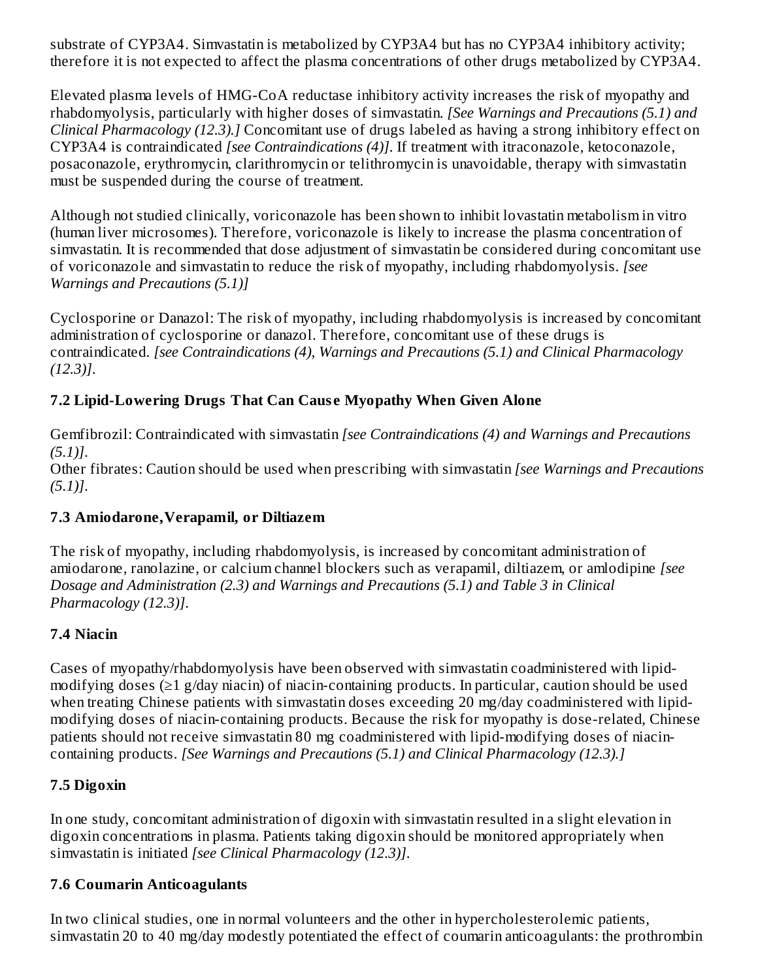substrate of CYP3A4. Simvastatin is metabolized by CYP3A4 but has no CYP3A4 inhibitory activity; therefore it is not expected to affect the plasma concentrations of other drugs metabolized by CYP3A4.

Elevated plasma levels of HMG-CoA reductase inhibitory activity increases the risk of myopathy and rhabdomyolysis, particularly with higher doses of simvastatin. *[See Warnings and Precautions (5.1) and Clinical Pharmacology (12.3).]* Concomitant use of drugs labeled as having a strong inhibitory effect on CYP3A4 is contraindicated *[see Contraindications (4)]*. If treatment with itraconazole, ketoconazole, posaconazole, erythromycin, clarithromycin or telithromycin is unavoidable, therapy with simvastatin must be suspended during the course of treatment.

Although not studied clinically, voriconazole has been shown to inhibit lovastatin metabolism in vitro (human liver microsomes). Therefore, voriconazole is likely to increase the plasma concentration of simvastatin. It is recommended that dose adjustment of simvastatin be considered during concomitant use of voriconazole and simvastatin to reduce the risk of myopathy, including rhabdomyolysis. *[see Warnings and Precautions (5.1)]*

Cyclosporine or Danazol: The risk of myopathy, including rhabdomyolysis is increased by concomitant administration of cyclosporine or danazol. Therefore, concomitant use of these drugs is contraindicated. *[see Contraindications (4), Warnings and Precautions (5.1) and Clinical Pharmacology (12.3)]*.

# **7.2 Lipid-Lowering Drugs That Can Caus e Myopathy When Given Alone**

Gemfibrozil: Contraindicated with simvastatin *[see Contraindications (4) and Warnings and Precautions (5.1)]*.

Other fibrates: Caution should be used when prescribing with simvastatin *[see Warnings and Precautions (5.1)]*.

# **7.3 Amiodarone,Verapamil, or Diltiazem**

The risk of myopathy, including rhabdomyolysis, is increased by concomitant administration of amiodarone, ranolazine, or calcium channel blockers such as verapamil, diltiazem, or amlodipine *[see Dosage and Administration (2.3) and Warnings and Precautions (5.1) and Table 3 in Clinical Pharmacology (12.3)]*.

### **7.4 Niacin**

Cases of myopathy/rhabdomyolysis have been observed with simvastatin coadministered with lipidmodifying doses (≥1 g/day niacin) of niacin-containing products. In particular, caution should be used when treating Chinese patients with simvastatin doses exceeding 20 mg/day coadministered with lipidmodifying doses of niacin-containing products. Because the risk for myopathy is dose-related, Chinese patients should not receive simvastatin 80 mg coadministered with lipid-modifying doses of niacincontaining products. *[See Warnings and Precautions (5.1) and Clinical Pharmacology (12.3).]*

# **7.5 Digoxin**

In one study, concomitant administration of digoxin with simvastatin resulted in a slight elevation in digoxin concentrations in plasma. Patients taking digoxin should be monitored appropriately when simvastatin is initiated *[see Clinical Pharmacology (12.3)]*.

# **7.6 Coumarin Anticoagulants**

In two clinical studies, one in normal volunteers and the other in hypercholesterolemic patients, simvastatin 20 to 40 mg/day modestly potentiated the effect of coumarin anticoagulants: the prothrombin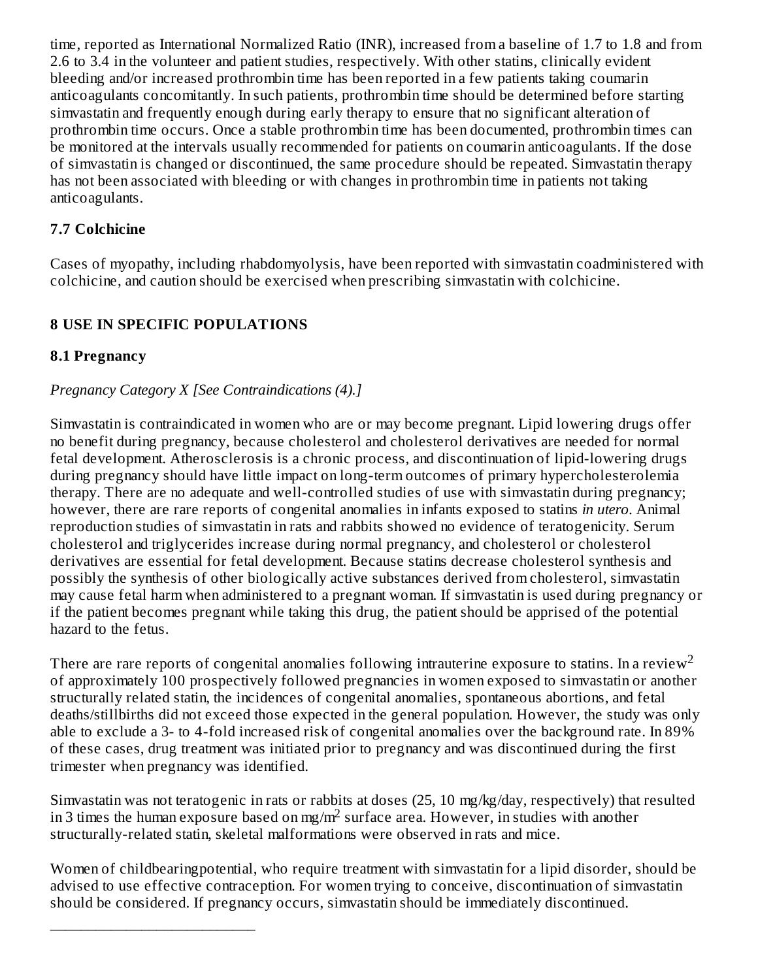time, reported as International Normalized Ratio (INR), increased from a baseline of 1.7 to 1.8 and from 2.6 to 3.4 in the volunteer and patient studies, respectively. With other statins, clinically evident bleeding and/or increased prothrombin time has been reported in a few patients taking coumarin anticoagulants concomitantly. In such patients, prothrombin time should be determined before starting simvastatin and frequently enough during early therapy to ensure that no significant alteration of prothrombin time occurs. Once a stable prothrombin time has been documented, prothrombin times can be monitored at the intervals usually recommended for patients on coumarin anticoagulants. If the dose of simvastatin is changed or discontinued, the same procedure should be repeated. Simvastatin therapy has not been associated with bleeding or with changes in prothrombin time in patients not taking anticoagulants.

## **7.7 Colchicine**

Cases of myopathy, including rhabdomyolysis, have been reported with simvastatin coadministered with colchicine, and caution should be exercised when prescribing simvastatin with colchicine.

## **8 USE IN SPECIFIC POPULATIONS**

¯¯¯¯¯¯¯¯¯¯¯¯¯¯¯¯¯¯¯¯¯¯¯¯¯¯¯

### **8.1 Pregnancy**

### *Pregnancy Category X [See Contraindications (4).]*

Simvastatin is contraindicated in women who are or may become pregnant. Lipid lowering drugs offer no benefit during pregnancy, because cholesterol and cholesterol derivatives are needed for normal fetal development. Atherosclerosis is a chronic process, and discontinuation of lipid-lowering drugs during pregnancy should have little impact on long-term outcomes of primary hypercholesterolemia therapy. There are no adequate and well-controlled studies of use with simvastatin during pregnancy; however, there are rare reports of congenital anomalies in infants exposed to statins *in utero*. Animal reproduction studies of simvastatin in rats and rabbits showed no evidence of teratogenicity. Serum cholesterol and triglycerides increase during normal pregnancy, and cholesterol or cholesterol derivatives are essential for fetal development. Because statins decrease cholesterol synthesis and possibly the synthesis of other biologically active substances derived from cholesterol, simvastatin may cause fetal harm when administered to a pregnant woman. If simvastatin is used during pregnancy or if the patient becomes pregnant while taking this drug, the patient should be apprised of the potential hazard to the fetus.

There are rare reports of congenital anomalies following intrauterine exposure to statins. In a review  $^2$ of approximately 100 prospectively followed pregnancies in women exposed to simvastatin or another structurally related statin, the incidences of congenital anomalies, spontaneous abortions, and fetal deaths/stillbirths did not exceed those expected in the general population. However, the study was only able to exclude a 3- to 4-fold increased risk of congenital anomalies over the background rate. In 89% of these cases, drug treatment was initiated prior to pregnancy and was discontinued during the first trimester when pregnancy was identified.

Simvastatin was not teratogenic in rats or rabbits at doses (25, 10 mg/kg/day, respectively) that resulted in 3 times the human exposure based on mg/m<sup>2</sup> surface area. However, in studies with another structurally-related statin, skeletal malformations were observed in rats and mice.

Women of childbearingpotential, who require treatment with simvastatin for a lipid disorder, should be advised to use effective contraception. For women trying to conceive, discontinuation of simvastatin should be considered. If pregnancy occurs, simvastatin should be immediately discontinued.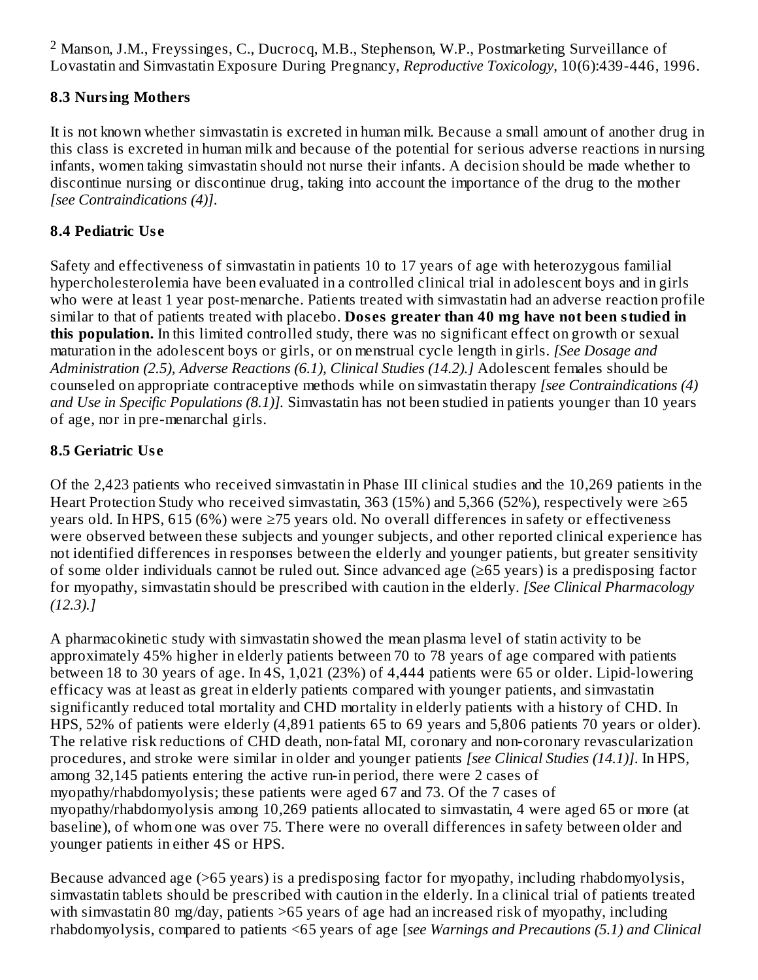<sup>2</sup> Manson, J.M., Freyssinges, C., Ducrocq, M.B., Stephenson, W.P., Postmarketing Surveillance of Lovastatin and Simvastatin Exposure During Pregnancy, *Reproductive Toxicology*, 10(6):439-446, 1996.

# **8.3 Nursing Mothers**

It is not known whether simvastatin is excreted in human milk. Because a small amount of another drug in this class is excreted in human milk and because of the potential for serious adverse reactions in nursing infants, women taking simvastatin should not nurse their infants. A decision should be made whether to discontinue nursing or discontinue drug, taking into account the importance of the drug to the mother *[see Contraindications (4)]*.

# **8.4 Pediatric Us e**

Safety and effectiveness of simvastatin in patients 10 to 17 years of age with heterozygous familial hypercholesterolemia have been evaluated in a controlled clinical trial in adolescent boys and in girls who were at least 1 year post-menarche. Patients treated with simvastatin had an adverse reaction profile similar to that of patients treated with placebo. **Dos es greater than 40 mg have not been studied in this population.** In this limited controlled study, there was no significant effect on growth or sexual maturation in the adolescent boys or girls, or on menstrual cycle length in girls. *[See Dosage and Administration (2.5), Adverse Reactions (6.1), Clinical Studies (14.2).]* Adolescent females should be counseled on appropriate contraceptive methods while on simvastatin therapy *[see Contraindications (4) and Use in Specific Populations (8.1)].* Simvastatin has not been studied in patients younger than 10 years of age, nor in pre-menarchal girls.

# **8.5 Geriatric Us e**

Of the 2,423 patients who received simvastatin in Phase III clinical studies and the 10,269 patients in the Heart Protection Study who received simvastatin, 363 (15%) and 5,366 (52%), respectively were ≥65 years old. In HPS, 615 (6%) were ≥75 years old. No overall differences in safety or effectiveness were observed between these subjects and younger subjects, and other reported clinical experience has not identified differences in responses between the elderly and younger patients, but greater sensitivity of some older individuals cannot be ruled out. Since advanced age (≥65 years) is a predisposing factor for myopathy, simvastatin should be prescribed with caution in the elderly. *[See Clinical Pharmacology (12.3).]*

A pharmacokinetic study with simvastatin showed the mean plasma level of statin activity to be approximately 45% higher in elderly patients between 70 to 78 years of age compared with patients between 18 to 30 years of age. In 4S, 1,021 (23%) of 4,444 patients were 65 or older. Lipid-lowering efficacy was at least as great in elderly patients compared with younger patients, and simvastatin significantly reduced total mortality and CHD mortality in elderly patients with a history of CHD. In HPS, 52% of patients were elderly (4,891 patients 65 to 69 years and 5,806 patients 70 years or older). The relative risk reductions of CHD death, non-fatal MI, coronary and non-coronary revascularization procedures, and stroke were similar in older and younger patients *[see Clinical Studies (14.1)]*. In HPS, among 32,145 patients entering the active run-in period, there were 2 cases of myopathy/rhabdomyolysis; these patients were aged 67 and 73. Of the 7 cases of myopathy/rhabdomyolysis among 10,269 patients allocated to simvastatin, 4 were aged 65 or more (at baseline), of whom one was over 75. There were no overall differences in safety between older and younger patients in either 4S or HPS.

Because advanced age (>65 years) is a predisposing factor for myopathy, including rhabdomyolysis, simvastatin tablets should be prescribed with caution in the elderly. In a clinical trial of patients treated with simvastatin 80 mg/day, patients >65 years of age had an increased risk of myopathy, including rhabdomyolysis, compared to patients <65 years of age [*see Warnings and Precautions (5.1) and Clinical*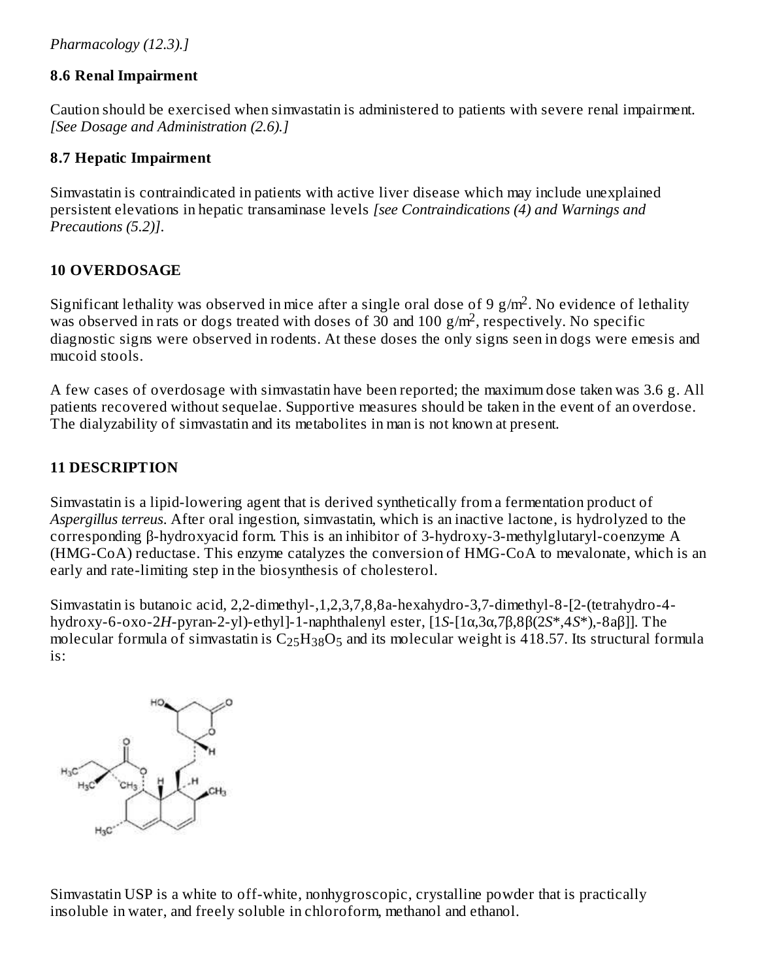*Pharmacology (12.3).]*

### **8.6 Renal Impairment**

Caution should be exercised when simvastatin is administered to patients with severe renal impairment. *[See Dosage and Administration (2.6).]*

### **8.7 Hepatic Impairment**

Simvastatin is contraindicated in patients with active liver disease which may include unexplained persistent elevations in hepatic transaminase levels *[see Contraindications (4) and Warnings and Precautions (5.2)]*.

### **10 OVERDOSAGE**

Significant lethality was observed in mice after a single oral dose of 9 g/m<sup>2</sup>. No evidence of lethality was observed in rats or dogs treated with doses of 30 and 100  $\frac{g}{m^2}$ , respectively. No specific diagnostic signs were observed in rodents. At these doses the only signs seen in dogs were emesis and mucoid stools.

A few cases of overdosage with simvastatin have been reported; the maximum dose taken was 3.6 g. All patients recovered without sequelae. Supportive measures should be taken in the event of an overdose. The dialyzability of simvastatin and its metabolites in man is not known at present.

## **11 DESCRIPTION**

Simvastatin is a lipid-lowering agent that is derived synthetically from a fermentation product of *Aspergillus terreus*. After oral ingestion, simvastatin, which is an inactive lactone, is hydrolyzed to the corresponding β-hydroxyacid form. This is an inhibitor of 3-hydroxy-3-methylglutaryl-coenzyme A (HMG-CoA) reductase. This enzyme catalyzes the conversion of HMG-CoA to mevalonate, which is an early and rate-limiting step in the biosynthesis of cholesterol.

Simvastatin is butanoic acid, 2,2-dimethyl-,1,2,3,7,8,8a-hexahydro-3,7-dimethyl-8-[2-(tetrahydro-4 hydroxy-6-oxo-2*H*-pyran-2-yl)-ethyl]-1-naphthalenyl ester, [1*S*-[1α,3α,7β,8β(2*S*\*,4*S*\*),-8aβ]]. The molecular formula of simvastatin is  $\rm{C_{25}H_{38}O_5}$  and its molecular weight is 418.57. Its structural formula is:



Simvastatin USP is a white to off-white, nonhygroscopic, crystalline powder that is practically insoluble in water, and freely soluble in chloroform, methanol and ethanol.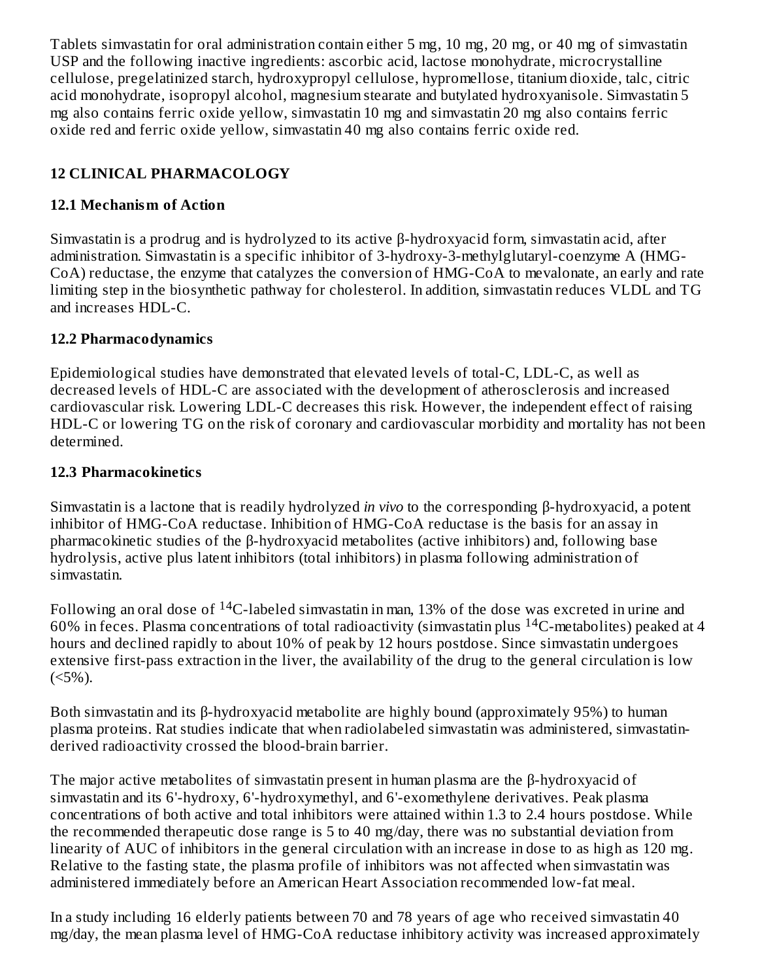Tablets simvastatin for oral administration contain either 5 mg, 10 mg, 20 mg, or 40 mg of simvastatin USP and the following inactive ingredients: ascorbic acid, lactose monohydrate, microcrystalline cellulose, pregelatinized starch, hydroxypropyl cellulose, hypromellose, titanium dioxide, talc, citric acid monohydrate, isopropyl alcohol, magnesium stearate and butylated hydroxyanisole. Simvastatin 5 mg also contains ferric oxide yellow, simvastatin 10 mg and simvastatin 20 mg also contains ferric oxide red and ferric oxide yellow, simvastatin 40 mg also contains ferric oxide red.

# **12 CLINICAL PHARMACOLOGY**

# **12.1 Mechanism of Action**

Simvastatin is a prodrug and is hydrolyzed to its active β-hydroxyacid form, simvastatin acid, after administration. Simvastatin is a specific inhibitor of 3-hydroxy-3-methylglutaryl-coenzyme A (HMG-CoA) reductase, the enzyme that catalyzes the conversion of HMG-CoA to mevalonate, an early and rate limiting step in the biosynthetic pathway for cholesterol. In addition, simvastatin reduces VLDL and TG and increases HDL-C.

## **12.2 Pharmacodynamics**

Epidemiological studies have demonstrated that elevated levels of total-C, LDL-C, as well as decreased levels of HDL-C are associated with the development of atherosclerosis and increased cardiovascular risk. Lowering LDL-C decreases this risk. However, the independent effect of raising HDL-C or lowering TG on the risk of coronary and cardiovascular morbidity and mortality has not been determined.

### **12.3 Pharmacokinetics**

Simvastatin is a lactone that is readily hydrolyzed *in vivo* to the corresponding β-hydroxyacid, a potent inhibitor of HMG-CoA reductase. Inhibition of HMG-CoA reductase is the basis for an assay in pharmacokinetic studies of the β-hydroxyacid metabolites (active inhibitors) and, following base hydrolysis, active plus latent inhibitors (total inhibitors) in plasma following administration of simvastatin.

Following an oral dose of  $\rm ^{14}C$ -labeled simvastatin in man, 13% of the dose was excreted in urine and 60% in feces. Plasma concentrations of total radioactivity (simvastatin plus  $^{14}$ C-metabolites) peaked at 4 hours and declined rapidly to about 10% of peak by 12 hours postdose. Since simvastatin undergoes extensive first-pass extraction in the liver, the availability of the drug to the general circulation is low  $(**5%**).$ 

Both simvastatin and its β-hydroxyacid metabolite are highly bound (approximately 95%) to human plasma proteins. Rat studies indicate that when radiolabeled simvastatin was administered, simvastatinderived radioactivity crossed the blood-brain barrier.

The major active metabolites of simvastatin present in human plasma are the β-hydroxyacid of simvastatin and its 6'-hydroxy, 6'-hydroxymethyl, and 6'-exomethylene derivatives. Peak plasma concentrations of both active and total inhibitors were attained within 1.3 to 2.4 hours postdose. While the recommended therapeutic dose range is 5 to 40 mg/day, there was no substantial deviation from linearity of AUC of inhibitors in the general circulation with an increase in dose to as high as 120 mg. Relative to the fasting state, the plasma profile of inhibitors was not affected when simvastatin was administered immediately before an American Heart Association recommended low-fat meal.

In a study including 16 elderly patients between 70 and 78 years of age who received simvastatin 40 mg/day, the mean plasma level of HMG-CoA reductase inhibitory activity was increased approximately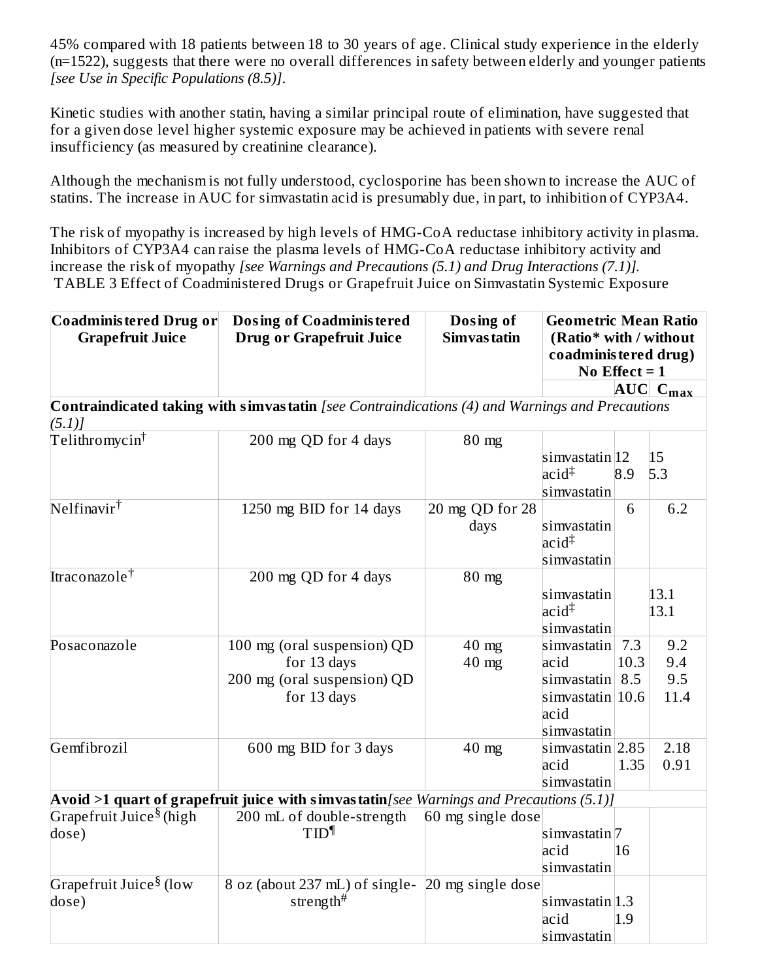45% compared with 18 patients between 18 to 30 years of age. Clinical study experience in the elderly (n=1522), suggests that there were no overall differences in safety between elderly and younger patients *[see Use in Specific Populations (8.5)]*.

Kinetic studies with another statin, having a similar principal route of elimination, have suggested that for a given dose level higher systemic exposure may be achieved in patients with severe renal insufficiency (as measured by creatinine clearance).

Although the mechanism is not fully understood, cyclosporine has been shown to increase the AUC of statins. The increase in AUC for simvastatin acid is presumably due, in part, to inhibition of CYP3A4.

The risk of myopathy is increased by high levels of HMG-CoA reductase inhibitory activity in plasma. Inhibitors of CYP3A4 can raise the plasma levels of HMG-CoA reductase inhibitory activity and increase the risk of myopathy *[see Warnings and Precautions (5.1) and Drug Interactions (7.1)].* TABLE 3 Effect of Coadministered Drugs or Grapefruit Juice on Simvastatin Systemic Exposure

| Coadministered Drug or              | <b>Dosing of Coadministered</b>                                                                 | Dosing of         | <b>Geometric Mean Ratio</b>                                       |      |                 |  |
|-------------------------------------|-------------------------------------------------------------------------------------------------|-------------------|-------------------------------------------------------------------|------|-----------------|--|
| <b>Grapefruit Juice</b>             | <b>Drug or Grapefruit Juice</b>                                                                 | Simvas tatin      | (Ratio* with / without<br>coadministered drug)<br>No Effect = $1$ |      |                 |  |
|                                     |                                                                                                 |                   |                                                                   |      |                 |  |
|                                     | Contraindicated taking with simvastatin [see Contraindications (4) and Warnings and Precautions |                   |                                                                   |      | $AUC$ $C_{max}$ |  |
| (5.1)                               |                                                                                                 |                   |                                                                   |      |                 |  |
| Telithromycin <sup>†</sup>          | 200 mg QD for 4 days                                                                            | $80$ mg           |                                                                   |      |                 |  |
|                                     |                                                                                                 |                   | simvastatin 12                                                    |      | 15              |  |
|                                     |                                                                                                 |                   | $acid^{\ddagger}$                                                 | 8.9  | 5.3             |  |
|                                     |                                                                                                 |                   | simvastatin                                                       |      |                 |  |
| $N$ elfinavir <sup>†</sup>          | 1250 mg BID for 14 days                                                                         | 20 mg QD for 28   |                                                                   | 6    | 6.2             |  |
|                                     |                                                                                                 | days              | simvastatin<br>$acid^{\ddagger}$                                  |      |                 |  |
|                                     |                                                                                                 |                   | simvastatin                                                       |      |                 |  |
| Itraconazole <sup>†</sup>           | 200 mg QD for 4 days                                                                            | $80$ mg           |                                                                   |      |                 |  |
|                                     |                                                                                                 |                   | simvastatin                                                       |      | 13.1            |  |
|                                     |                                                                                                 |                   | $acid^{\ddagger}$                                                 |      | 13.1            |  |
|                                     |                                                                                                 |                   | simvastatin                                                       |      |                 |  |
| Posaconazole                        | 100 mg (oral suspension) QD                                                                     | $40$ mg           | simvastatin                                                       | 7.3  | 9.2             |  |
|                                     | for 13 days                                                                                     | $40$ mg           | acid                                                              | 10.3 | 9.4             |  |
|                                     | 200 mg (oral suspension) QD                                                                     |                   | simvastatin                                                       | 8.5  | 9.5             |  |
|                                     | for 13 days                                                                                     |                   | simvastatin 10.6                                                  |      | 11.4            |  |
|                                     |                                                                                                 |                   | acid                                                              |      |                 |  |
|                                     |                                                                                                 |                   | simvastatin                                                       |      |                 |  |
| Gemfibrozil                         | 600 mg BID for 3 days                                                                           | 40 mg             | simvastatin $2.85$                                                |      | 2.18            |  |
|                                     |                                                                                                 |                   | acid                                                              | 1.35 | 0.91            |  |
|                                     |                                                                                                 |                   | simvastatin                                                       |      |                 |  |
|                                     | Avoid >1 quart of grapefruit juice with simvastatin[see Warnings and Precautions (5.1)]         |                   |                                                                   |      |                 |  |
| Grapefruit Juice <sup>§</sup> (high | 200 mL of double-strength                                                                       | 60 mg single dose |                                                                   |      |                 |  |
| dose)                               | TID <sup>¶</sup>                                                                                |                   | simvastatin <sup>7</sup>                                          |      |                 |  |
|                                     |                                                                                                 |                   | acid                                                              | 16   |                 |  |
|                                     |                                                                                                 |                   | simvastatin                                                       |      |                 |  |
| Grapefruit Juice <sup>§</sup> (low  | 8 oz (about 237 mL) of single-                                                                  | 20 mg single dose |                                                                   |      |                 |  |
| dose)                               | strength#                                                                                       |                   | simvastatin $ 1.3$                                                |      |                 |  |
|                                     |                                                                                                 |                   | acid                                                              | 1.9  |                 |  |
|                                     |                                                                                                 |                   | simvastatin                                                       |      |                 |  |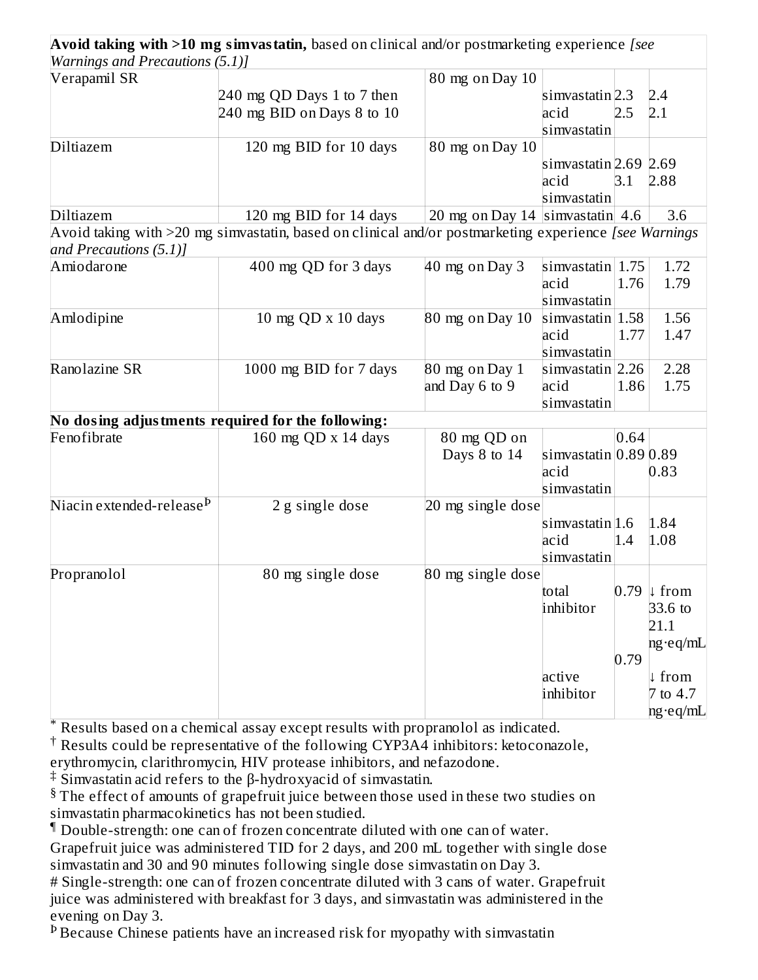| Warnings and Precautions (5.1)]      | Avoid taking with >10 mg simvastatin, based on clinical and/or postmarketing experience [see          |                                       |                                                |              |                                                              |
|--------------------------------------|-------------------------------------------------------------------------------------------------------|---------------------------------------|------------------------------------------------|--------------|--------------------------------------------------------------|
| Verapamil SR                         | 240 mg QD Days 1 to 7 then<br>240 mg BID on Days 8 to 10                                              | 80 mg on Day 10                       | simvastatin 2.3<br>acid<br>simvastatin         | 2.5          | 2.4<br>2.1                                                   |
| Diltiazem                            | 120 mg BID for 10 days                                                                                | 80 mg on Day 10                       | simvastatin $2.69$ 2.69<br>acid<br>simvastatin | 3.1          | 2.88                                                         |
| Diltiazem                            | 120 mg BID for 14 days                                                                                | 20 mg on Day 14   simvastatin $ 4.6 $ |                                                |              | 3.6                                                          |
| and Precautions $(5.1)$ ]            | Avoid taking with >20 mg simvastatin, based on clinical and/or postmarketing experience [see Warnings |                                       |                                                |              |                                                              |
| Amiodarone                           | 400 mg QD for 3 days                                                                                  | 40 mg on Day 3                        | simvastatin 1.75<br>acid<br>simvastatin        | 1.76         | 1.72<br>1.79                                                 |
| Amlodipine                           | 10 mg $QD \times 10$ days                                                                             | 80 mg on Day 10                       | simvastatin<br>acid<br>simvastatin             | 1.58<br>1.77 | 1.56<br>1.47                                                 |
| Ranolazine SR                        | 1000 mg BID for 7 days                                                                                | 80 mg on Day 1<br>and Day 6 to 9      | simvastatin 2.26<br>acid<br>simvastatin        | 1.86         | 2.28<br>1.75                                                 |
|                                      | No dosing adjustments required for the following:                                                     |                                       |                                                |              |                                                              |
| Fenofibrate                          | 160 mg QD x 14 days                                                                                   | 80 mg QD on<br>Days 8 to 14           | simvastatin $0.89$ 0.89<br>acid<br>simvastatin | 0.64         | 0.83                                                         |
| Niacin extended-release <sup>b</sup> | 2 g single dose                                                                                       | 20 mg single dose                     | simvastatin 1.6<br>acid<br>simvastatin         | 1.4          | 1.84<br>1.08                                                 |
| Propranolol                          | 80 mg single dose                                                                                     | 80 mg single dose                     | total<br>inhibitor                             | 0.79         | $0.79 \downharpoonright$ from<br>33.6 to<br>21.1<br>ng eq/mL |
|                                      |                                                                                                       |                                       | active<br>inhibitor                            |              | $\downarrow$ from<br>7 to 4.7<br>ng eq/mL                    |

\* Results based on a chemical assay except results with propranolol as indicated.

<sup>†</sup> Results could be representative of the following CYP3A4 inhibitors: ketoconazole,

erythromycin, clarithromycin, HIV protease inhibitors, and nefazodone.

 $\dagger$  Simvastatin acid refers to the β-hydroxyacid of simvastatin.

<sup>§</sup> The effect of amounts of grapefruit juice between those used in these two studies on simvastatin pharmacokinetics has not been studied.

Double-strength: one can of frozen concentrate diluted with one can of water. ¶

Grapefruit juice was administered TID for 2 days, and 200 mL together with single dose simvastatin and 30 and 90 minutes following single dose simvastatin on Day 3.

# Single-strength: one can of frozen concentrate diluted with 3 cans of water. Grapefruit juice was administered with breakfast for 3 days, and simvastatin was administered in the evening on Day 3.

<sup>b</sup> Because Chinese patients have an increased risk for myopathy with simvastatin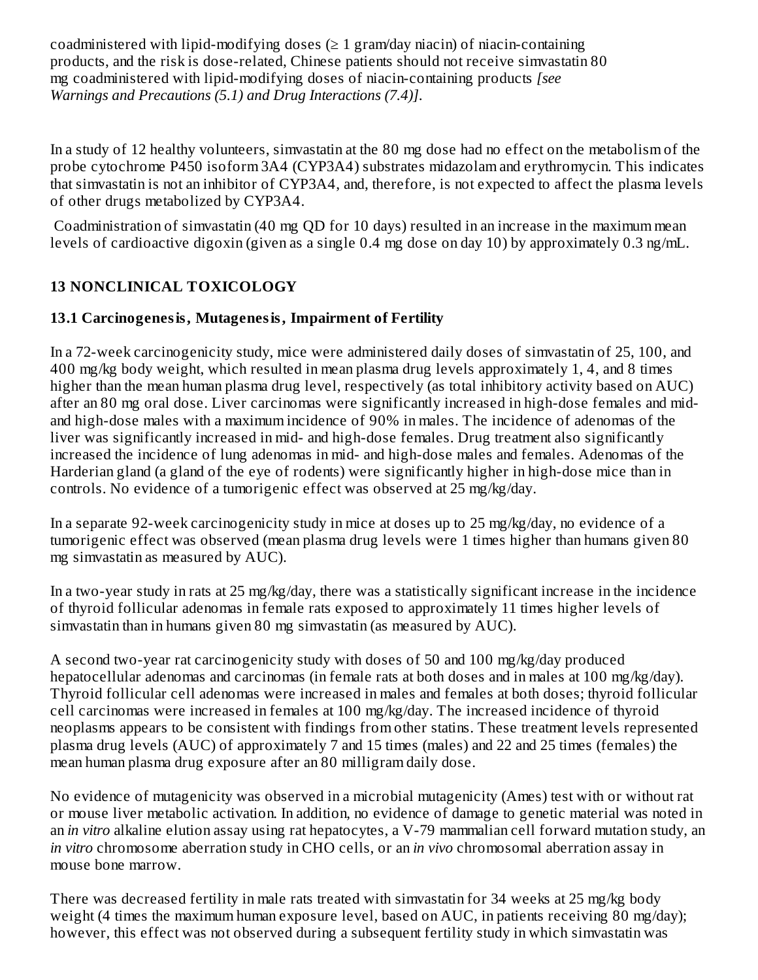coadministered with lipid-modifying doses  $(\geq 1$  gram/day niacin) of niacin-containing products, and the risk is dose-related, Chinese patients should not receive simvastatin 80 mg coadministered with lipid-modifying doses of niacin-containing products *[see Warnings and Precautions (5.1) and Drug Interactions (7.4)]*.

In a study of 12 healthy volunteers, simvastatin at the 80 mg dose had no effect on the metabolism of the probe cytochrome P450 isoform 3A4 (CYP3A4) substrates midazolam and erythromycin. This indicates that simvastatin is not an inhibitor of CYP3A4, and, therefore, is not expected to affect the plasma levels of other drugs metabolized by CYP3A4.

Coadministration of simvastatin (40 mg QD for 10 days) resulted in an increase in the maximum mean levels of cardioactive digoxin (given as a single 0.4 mg dose on day 10) by approximately 0.3 ng/mL.

# **13 NONCLINICAL TOXICOLOGY**

## **13.1 Carcinogenesis, Mutagenesis, Impairment of Fertility**

In a 72-week carcinogenicity study, mice were administered daily doses of simvastatin of 25, 100, and 400 mg/kg body weight, which resulted in mean plasma drug levels approximately 1, 4, and 8 times higher than the mean human plasma drug level, respectively (as total inhibitory activity based on AUC) after an 80 mg oral dose. Liver carcinomas were significantly increased in high-dose females and midand high-dose males with a maximum incidence of 90% in males. The incidence of adenomas of the liver was significantly increased in mid- and high-dose females. Drug treatment also significantly increased the incidence of lung adenomas in mid- and high-dose males and females. Adenomas of the Harderian gland (a gland of the eye of rodents) were significantly higher in high-dose mice than in controls. No evidence of a tumorigenic effect was observed at 25 mg/kg/day.

In a separate 92-week carcinogenicity study in mice at doses up to 25 mg/kg/day, no evidence of a tumorigenic effect was observed (mean plasma drug levels were 1 times higher than humans given 80 mg simvastatin as measured by AUC).

In a two-year study in rats at 25 mg/kg/day, there was a statistically significant increase in the incidence of thyroid follicular adenomas in female rats exposed to approximately 11 times higher levels of simvastatin than in humans given 80 mg simvastatin (as measured by AUC).

A second two-year rat carcinogenicity study with doses of 50 and 100 mg/kg/day produced hepatocellular adenomas and carcinomas (in female rats at both doses and in males at 100 mg/kg/day). Thyroid follicular cell adenomas were increased in males and females at both doses; thyroid follicular cell carcinomas were increased in females at 100 mg/kg/day. The increased incidence of thyroid neoplasms appears to be consistent with findings from other statins. These treatment levels represented plasma drug levels (AUC) of approximately 7 and 15 times (males) and 22 and 25 times (females) the mean human plasma drug exposure after an 80 milligram daily dose.

No evidence of mutagenicity was observed in a microbial mutagenicity (Ames) test with or without rat or mouse liver metabolic activation. In addition, no evidence of damage to genetic material was noted in an *in vitro* alkaline elution assay using rat hepatocytes, a V-79 mammalian cell forward mutation study, an *in vitro* chromosome aberration study in CHO cells, or an *in vivo* chromosomal aberration assay in mouse bone marrow.

There was decreased fertility in male rats treated with simvastatin for 34 weeks at 25 mg/kg body weight (4 times the maximum human exposure level, based on AUC, in patients receiving 80 mg/day); however, this effect was not observed during a subsequent fertility study in which simvastatin was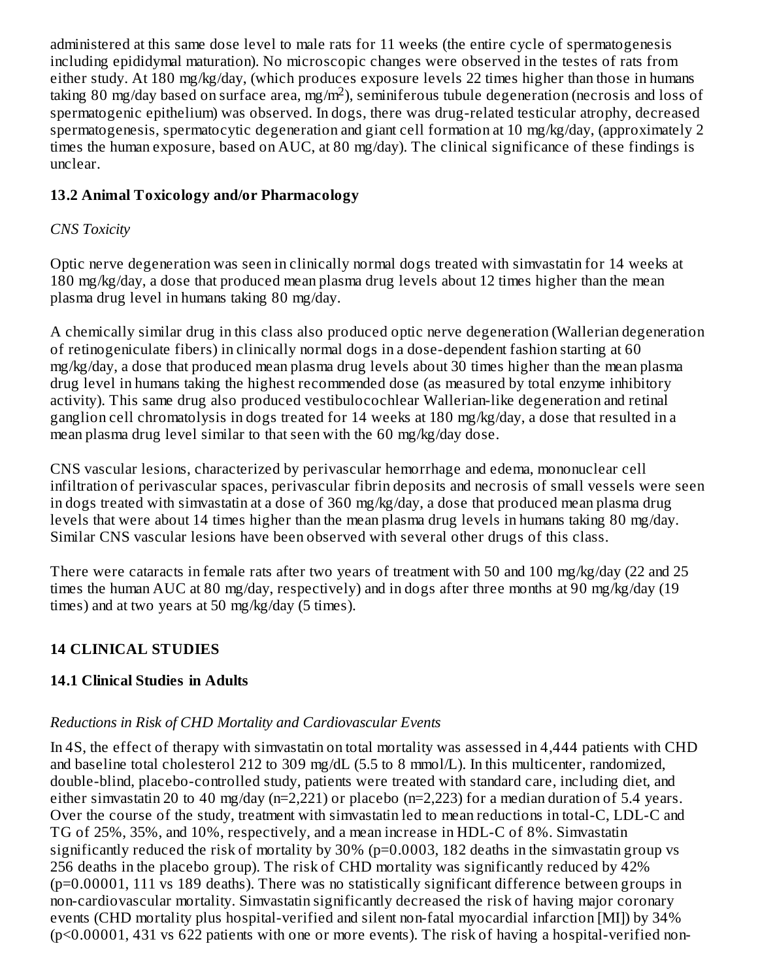administered at this same dose level to male rats for 11 weeks (the entire cycle of spermatogenesis including epididymal maturation). No microscopic changes were observed in the testes of rats from either study. At 180 mg/kg/day, (which produces exposure levels 22 times higher than those in humans taking 80 mg/day based on surface area, mg/m<sup>2</sup>), seminiferous tubule degeneration (necrosis and loss of spermatogenic epithelium) was observed. In dogs, there was drug-related testicular atrophy, decreased spermatogenesis, spermatocytic degeneration and giant cell formation at 10 mg/kg/day, (approximately 2 times the human exposure, based on AUC, at 80 mg/day). The clinical significance of these findings is unclear.

## **13.2 Animal Toxicology and/or Pharmacology**

## *CNS Toxicity*

Optic nerve degeneration was seen in clinically normal dogs treated with simvastatin for 14 weeks at 180 mg/kg/day, a dose that produced mean plasma drug levels about 12 times higher than the mean plasma drug level in humans taking 80 mg/day.

A chemically similar drug in this class also produced optic nerve degeneration (Wallerian degeneration of retinogeniculate fibers) in clinically normal dogs in a dose-dependent fashion starting at 60 mg/kg/day, a dose that produced mean plasma drug levels about 30 times higher than the mean plasma drug level in humans taking the highest recommended dose (as measured by total enzyme inhibitory activity). This same drug also produced vestibulocochlear Wallerian-like degeneration and retinal ganglion cell chromatolysis in dogs treated for 14 weeks at 180 mg/kg/day, a dose that resulted in a mean plasma drug level similar to that seen with the 60 mg/kg/day dose.

CNS vascular lesions, characterized by perivascular hemorrhage and edema, mononuclear cell infiltration of perivascular spaces, perivascular fibrin deposits and necrosis of small vessels were seen in dogs treated with simvastatin at a dose of 360 mg/kg/day, a dose that produced mean plasma drug levels that were about 14 times higher than the mean plasma drug levels in humans taking 80 mg/day. Similar CNS vascular lesions have been observed with several other drugs of this class.

There were cataracts in female rats after two years of treatment with 50 and 100 mg/kg/day (22 and 25 times the human AUC at 80 mg/day, respectively) and in dogs after three months at 90 mg/kg/day (19 times) and at two years at 50 mg/kg/day (5 times).

# **14 CLINICAL STUDIES**

# **14.1 Clinical Studies in Adults**

# *Reductions in Risk of CHD Mortality and Cardiovascular Events*

In 4S, the effect of therapy with simvastatin on total mortality was assessed in 4,444 patients with CHD and baseline total cholesterol 212 to 309 mg/dL (5.5 to 8 mmol/L). In this multicenter, randomized, double-blind, placebo-controlled study, patients were treated with standard care, including diet, and either simvastatin 20 to 40 mg/day (n=2,221) or placebo (n=2,223) for a median duration of 5.4 years. Over the course of the study, treatment with simvastatin led to mean reductions in total-C, LDL-C and TG of 25%, 35%, and 10%, respectively, and a mean increase in HDL-C of 8%. Simvastatin significantly reduced the risk of mortality by 30% (p=0.0003, 182 deaths in the simvastatin group vs 256 deaths in the placebo group). The risk of CHD mortality was significantly reduced by 42% (p=0.00001, 111 vs 189 deaths). There was no statistically significant difference between groups in non-cardiovascular mortality. Simvastatin significantly decreased the risk of having major coronary events (CHD mortality plus hospital-verified and silent non-fatal myocardial infarction [MI]) by 34% (p<0.00001, 431 vs 622 patients with one or more events). The risk of having a hospital-verified non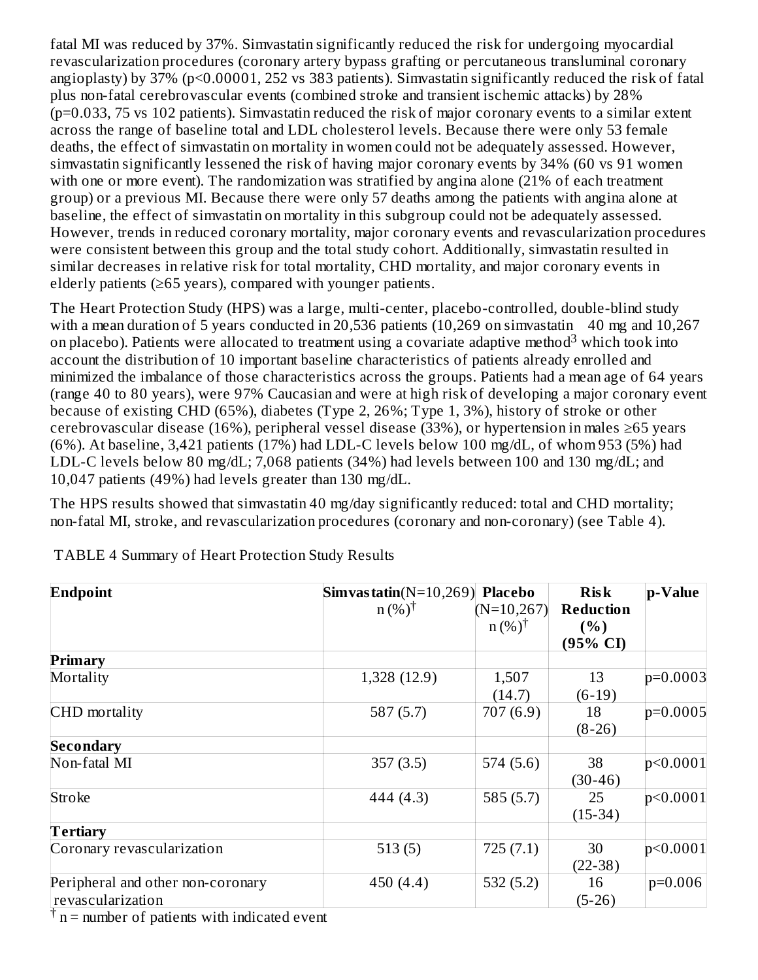fatal MI was reduced by 37%. Simvastatin significantly reduced the risk for undergoing myocardial revascularization procedures (coronary artery bypass grafting or percutaneous transluminal coronary angioplasty) by 37% (p<0.00001, 252 vs 383 patients). Simvastatin significantly reduced the risk of fatal plus non-fatal cerebrovascular events (combined stroke and transient ischemic attacks) by 28% (p=0.033, 75 vs 102 patients). Simvastatin reduced the risk of major coronary events to a similar extent across the range of baseline total and LDL cholesterol levels. Because there were only 53 female deaths, the effect of simvastatin on mortality in women could not be adequately assessed. However, simvastatin significantly lessened the risk of having major coronary events by 34% (60 vs 91 women with one or more event). The randomization was stratified by angina alone (21% of each treatment group) or a previous MI. Because there were only 57 deaths among the patients with angina alone at baseline, the effect of simvastatin on mortality in this subgroup could not be adequately assessed. However, trends in reduced coronary mortality, major coronary events and revascularization procedures were consistent between this group and the total study cohort. Additionally, simvastatin resulted in similar decreases in relative risk for total mortality, CHD mortality, and major coronary events in elderly patients (≥65 years), compared with younger patients.

The Heart Protection Study (HPS) was a large, multi-center, placebo-controlled, double-blind study with a mean duration of 5 years conducted in 20,536 patients (10,269 on simvastatin 40 mg and 10,267 on placebo). Patients were allocated to treatment using a covariate adaptive method<sup>3</sup> which took into account the distribution of 10 important baseline characteristics of patients already enrolled and minimized the imbalance of those characteristics across the groups. Patients had a mean age of 64 years (range 40 to 80 years), were 97% Caucasian and were at high risk of developing a major coronary event because of existing CHD (65%), diabetes (Type 2, 26%; Type 1, 3%), history of stroke or other cerebrovascular disease (16%), peripheral vessel disease (33%), or hypertension in males ≥65 years (6%). At baseline, 3,421 patients (17%) had LDL-C levels below 100 mg/dL, of whom 953 (5%) had LDL-C levels below 80 mg/dL; 7,068 patients (34%) had levels between 100 and 130 mg/dL; and 10,047 patients (49%) had levels greater than 130 mg/dL.

The HPS results showed that simvastatin 40 mg/day significantly reduced: total and CHD mortality; non-fatal MI, stroke, and revascularization procedures (coronary and non-coronary) (see Table 4).

| <b>Endpoint</b>                                                      | Simvas tatin $(N=10,269)$ Placebo |                     | <b>Risk</b>      | p-Value    |
|----------------------------------------------------------------------|-----------------------------------|---------------------|------------------|------------|
|                                                                      | $n (\%)^{\dagger}$                | $(N=10, 267)$       | <b>Reduction</b> |            |
|                                                                      |                                   | $n({\%})^{\dagger}$ | (%)              |            |
|                                                                      |                                   |                     | (95% CI)         |            |
| <b>Primary</b>                                                       |                                   |                     |                  |            |
| Mortality                                                            | 1,328(12.9)                       | 1,507               | 13               | $p=0.0003$ |
|                                                                      |                                   | (14.7)              | $(6-19)$         |            |
| <b>CHD</b> mortality                                                 | 587(5.7)                          | 707 (6.9)           | 18               | $p=0.0005$ |
|                                                                      |                                   |                     | $(8-26)$         |            |
| <b>Secondary</b>                                                     |                                   |                     |                  |            |
| Non-fatal MI                                                         | 357(3.5)                          | 574(5.6)            | 38               | p<0.0001   |
|                                                                      |                                   |                     | $(30-46)$        |            |
| Stroke                                                               | 444 (4.3)                         | 585 $(5.7)$         | 25               | p<0.0001   |
|                                                                      |                                   |                     | $(15-34)$        |            |
| <b>Tertiary</b>                                                      |                                   |                     |                  |            |
| Coronary revascularization                                           | 513(5)                            | 725(7.1)            | 30               | p<0.0001   |
|                                                                      |                                   |                     | $(22-38)$        |            |
| Peripheral and other non-coronary                                    | 450 (4.4)                         | 532(5.2)            | 16               | $p=0.006$  |
| revascularization                                                    |                                   |                     | $(5-26)$         |            |
| $\ddagger$ in a complete of a state of the field in disorted account |                                   |                     |                  |            |

TABLE 4 Summary of Heart Protection Study Results

 $\dagger$  n = number of patients with indicated event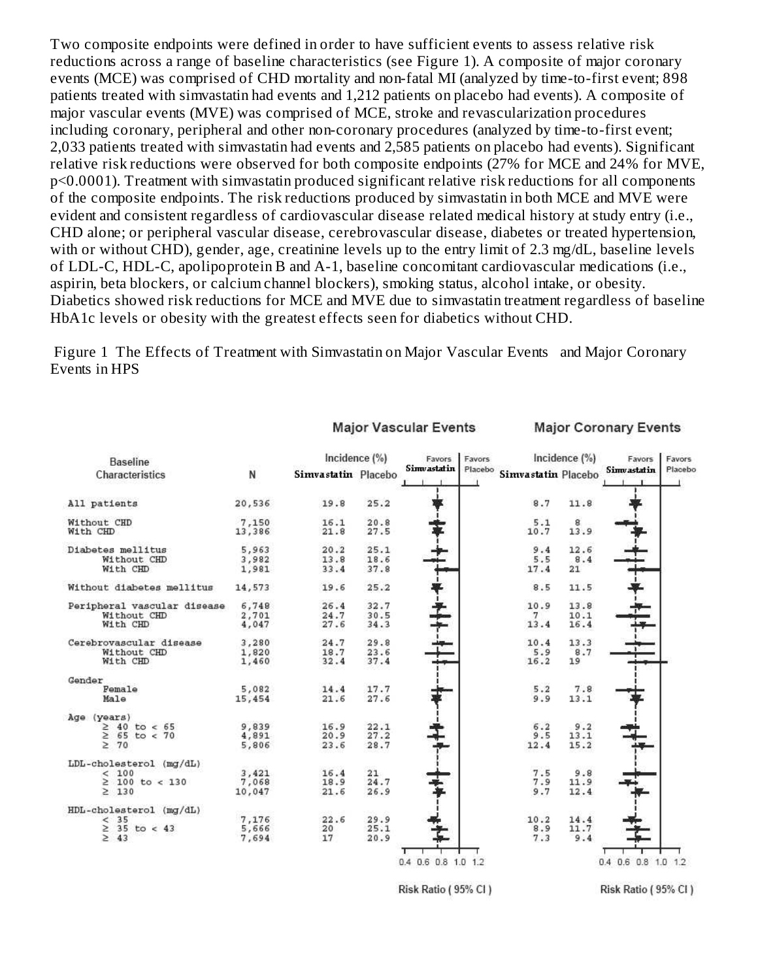Two composite endpoints were defined in order to have sufficient events to assess relative risk reductions across a range of baseline characteristics (see Figure 1). A composite of major coronary events (MCE) was comprised of CHD mortality and non-fatal MI (analyzed by time-to-first event; 898 patients treated with simvastatin had events and 1,212 patients on placebo had events). A composite of major vascular events (MVE) was comprised of MCE, stroke and revascularization procedures including coronary, peripheral and other non-coronary procedures (analyzed by time-to-first event; 2,033 patients treated with simvastatin had events and 2,585 patients on placebo had events). Significant relative risk reductions were observed for both composite endpoints (27% for MCE and 24% for MVE, p<0.0001). Treatment with simvastatin produced significant relative risk reductions for all components of the composite endpoints. The risk reductions produced by simvastatin in both MCE and MVE were evident and consistent regardless of cardiovascular disease related medical history at study entry (i.e., CHD alone; or peripheral vascular disease, cerebrovascular disease, diabetes or treated hypertension, with or without CHD), gender, age, creatinine levels up to the entry limit of 2.3 mg/dL, baseline levels of LDL-C, HDL-C, apolipoprotein B and A-1, baseline concomitant cardiovascular medications (i.e., aspirin, beta blockers, or calcium channel blockers), smoking status, alcohol intake, or obesity. Diabetics showed risk reductions for MCE and MVE due to simvastatin treatment regardless of baseline HbA1c levels or obesity with the greatest effects seen for diabetics without CHD.

Figure 1 The Effects of Treatment with Simvastatin on Major Vascular Events and Major Coronary Events in HPS

| <b>Baseline</b>                                                       |                          |                      | Incidence (%)        | <b>Favors</b>       | Favors |                                 | Incidence $(\% )$    | Favors              | Favors  |
|-----------------------------------------------------------------------|--------------------------|----------------------|----------------------|---------------------|--------|---------------------------------|----------------------|---------------------|---------|
| Characteristics                                                       | N                        | Simvastatin Placebo  |                      | Simvastatin         |        | Placebo Simvastatin Placebo     |                      | Simvastatin         | Placebo |
| All patients                                                          | 20,536                   | 19.8                 | 25.2                 |                     |        | 8.7                             | 11.8                 |                     |         |
| Without CHD<br>With CHD                                               | 7.150<br>13,386          | 16.1<br>21.8         | 20.8<br>27.5         |                     |        | 5.1<br>10.7                     | 8<br>13.9            |                     |         |
| Diabetes mellitus<br>Without CHD<br>With CHD                          | 5,963<br>3,982<br>1,981  | 20.2<br>13.8<br>33.4 | 25.1<br>18.6<br>37.8 |                     |        | 9.4<br>5.5<br>17.4              | 12.6<br>8.4<br>21    |                     |         |
| Without diabetes mellitus                                             | 14,573                   | 19.6                 | 25.2                 |                     |        | 8.5                             | 11.5                 |                     |         |
| Peripheral vascular disease 6,748<br>Without CHD<br>With CHD          | 2,701<br>4,047           | 26.4<br>24.7<br>27.6 | 32.7<br>30.5<br>34.3 |                     |        | 10.9<br>$7\phantom{.0}$<br>13.4 | 13.8<br>10.1<br>16.4 |                     |         |
| Cerebrovascular disease<br>Without CHD<br>With CHD                    | 3,280<br>1,820<br>1,460  | 24.7<br>18.7<br>32.4 | 29.8<br>23.6<br>37.4 |                     |        | 10.4<br>5.9<br>16.2             | 13.3<br>8.7<br>19    |                     |         |
| Gender<br>Female<br>Male                                              | 5,082<br>15,454          | 14.4<br>21.6         | 17.7<br>27.6         |                     |        | 5.2<br>9.9                      | 7.8<br>13.1          |                     |         |
| Age (years)<br>$\geq 40$ to < 65<br>$\geq$ 65 to < 70<br>$\geq 70$    | 9,839<br>4,891<br>5,806  | 16.9<br>20.9<br>23.6 | 22.1<br>27.2<br>28.7 |                     |        | 6.2<br>9.5<br>12.4              | 9.2<br>13.1<br>15.2  |                     |         |
| LDL-cholesterol (mg/dL)<br>< 100<br>$\geq 100$ to < 130<br>$\geq 130$ | 3,421<br>7,068<br>10,047 | 16.4<br>18.9<br>21.6 | 21<br>24.7<br>26.9   |                     |        | 7.5<br>7.9<br>9.7               | 9.8<br>11.9<br>12.4  |                     |         |
| HDL-cholesterol (mg/dL)<br>$<$ 35<br>$\geq$ 35 to < 43<br>$\geq 43$   | 7.176<br>5,666<br>7,694  | 22.6<br>20<br>17     | 29.9<br>25.1<br>20.9 |                     |        | 10.2<br>8.9<br>7.3              | 14.4<br>11.7<br>9.4  |                     |         |
|                                                                       |                          |                      |                      | 0.4 0.6 0.8 1.0 1.2 |        |                                 |                      | 0.4 0.6 0.8 1.0 1.2 |         |

**Major Vascular Events** 

**Major Coronary Events** 

Risk Ratio (95% CI)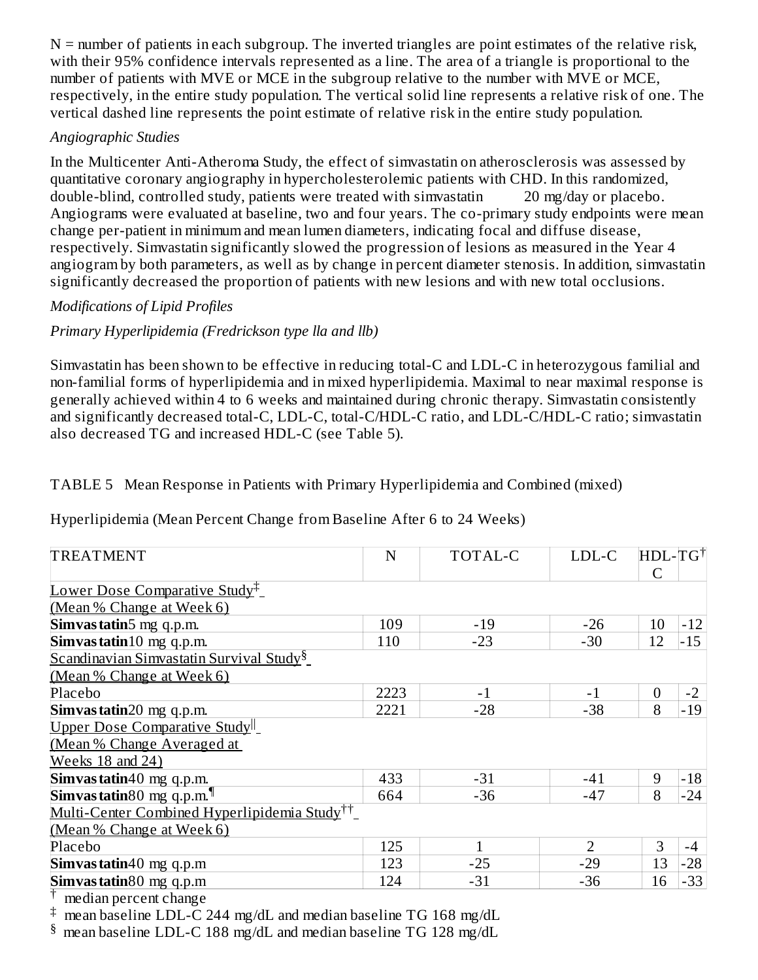$N =$  number of patients in each subgroup. The inverted triangles are point estimates of the relative risk, with their 95% confidence intervals represented as a line. The area of a triangle is proportional to the number of patients with MVE or MCE in the subgroup relative to the number with MVE or MCE, respectively, in the entire study population. The vertical solid line represents a relative risk of one. The vertical dashed line represents the point estimate of relative risk in the entire study population.

## *Angiographic Studies*

In the Multicenter Anti-Atheroma Study, the effect of simvastatin on atherosclerosis was assessed by quantitative coronary angiography in hypercholesterolemic patients with CHD. In this randomized, double-blind, controlled study, patients were treated with simvastatin 20 mg/day or placebo. Angiograms were evaluated at baseline, two and four years. The co-primary study endpoints were mean change per-patient in minimum and mean lumen diameters, indicating focal and diffuse disease, respectively. Simvastatin significantly slowed the progression of lesions as measured in the Year 4 angiogram by both parameters, as well as by change in percent diameter stenosis. In addition, simvastatin significantly decreased the proportion of patients with new lesions and with new total occlusions.

# *Modifications of Lipid Profiles*

# *Primary Hyperlipidemia (Fredrickson type lla and llb)*

Simvastatin has been shown to be effective in reducing total-C and LDL-C in heterozygous familial and non-familial forms of hyperlipidemia and in mixed hyperlipidemia. Maximal to near maximal response is generally achieved within 4 to 6 weeks and maintained during chronic therapy. Simvastatin consistently and significantly decreased total-C, LDL-C, total-C/HDL-C ratio, and LDL-C/HDL-C ratio; simvastatin also decreased TG and increased HDL-C (see Table 5).

## TABLE 5 Mean Response in Patients with Primary Hyperlipidemia and Combined (mixed)

Hyperlipidemia (Mean Percent Change from Baseline After 6 to 24 Weeks)

| <b>TREATMENT</b>                                            | N    | TOTAL-C | LDL-C | $HDL-ITGT$   |       |
|-------------------------------------------------------------|------|---------|-------|--------------|-------|
|                                                             |      |         |       | $\mathsf{C}$ |       |
| Lower Dose Comparative Study <sup>‡</sup>                   |      |         |       |              |       |
| (Mean % Change at Week 6)                                   |      |         |       |              |       |
| Simvas tatin <sub>5</sub> mg q.p.m.                         | 109  | $-19$   | $-26$ | 10           | $-12$ |
| Simvas tatin10 mg q.p.m.                                    | 110  | $-23$   | $-30$ | 12           | $-15$ |
| Scandinavian Simvastatin Survival Study <sup>§</sup>        |      |         |       |              |       |
| (Mean % Change at Week 6)                                   |      |         |       |              |       |
| Placebo                                                     | 2223 | $-1$    | $-1$  | $\Omega$     | $-2$  |
| Simvas tatin20 mg q.p.m.                                    | 2221 | $-28$   | $-38$ | 8            | $-19$ |
| <u>Upper Dose Comparative Study</u>                         |      |         |       |              |       |
| (Mean % Change Averaged at                                  |      |         |       |              |       |
| Weeks 18 and 24)                                            |      |         |       |              |       |
| Simvas tatin40 mg q.p.m.                                    | 433  | $-31$   | $-41$ | 9            | $-18$ |
| <b>Simvas tatin</b> 80 mg q.p.m. <sup><math>\P</math></sup> | 664  | $-36$   | $-47$ | 8            | $-24$ |
| Multi-Center Combined Hyperlipidemia Study <sup>††</sup>    |      |         |       |              |       |
| (Mean % Change at Week 6)                                   |      |         |       |              |       |
| Placebo                                                     | 125  |         | C     | 3            | $-4$  |
| Simvas tatin40 mg q.p.m                                     | 123  | $-25$   | $-29$ | 13           | $-28$ |
| Simvas tatin80 mg q.p.m                                     | 124  | $-31$   | $-36$ | 16           | $-33$ |
| median percent change                                       |      |         |       |              |       |

median percent change

mean baseline LDL-C 244 mg/dL and median baseline TG 168 mg/dL ‡

 $\frac{1}{8}$  mean baseline LDL-C 188 mg/dL and median baseline TG 128 mg/dL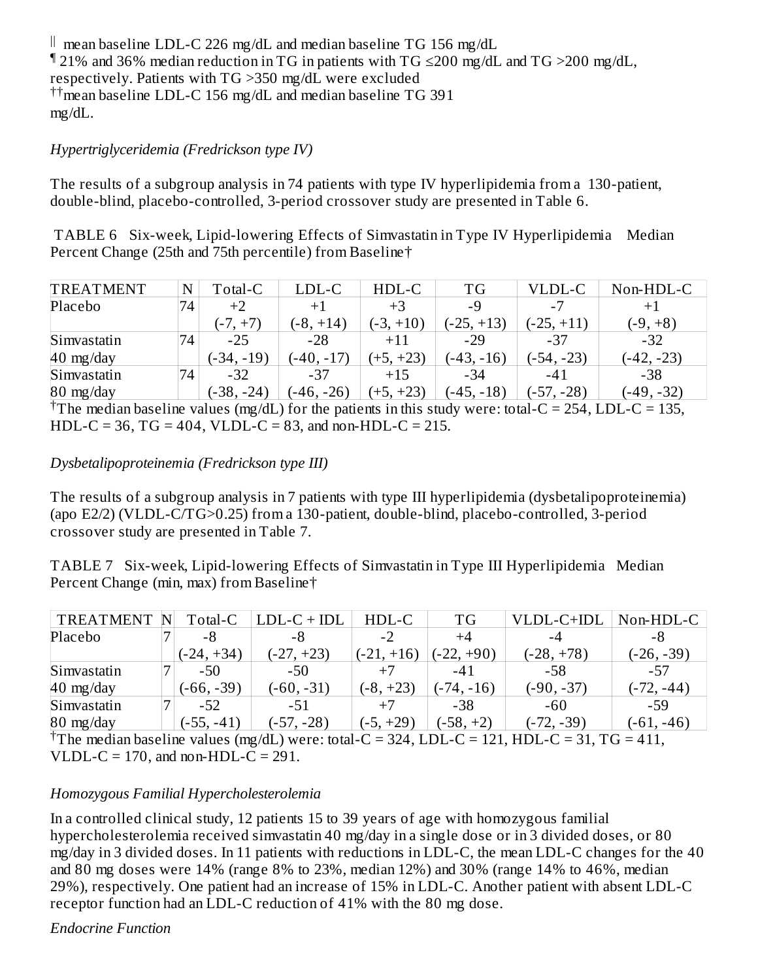$\parallel$  mean baseline LDL-C 226 mg/dL and median baseline TG 156 mg/dL  $\P$  21% and 36% median reduction in TG in patients with TG  $\leq$  200 mg/dL and TG  $>$  200 mg/dL, respectively. Patients with TG >350 mg/dL were excluded mean baseline LDL-C 156 mg/dL and median baseline TG 391 †† mg/dL.

## *Hypertriglyceridemia (Fredrickson type IV)*

The results of a subgroup analysis in 74 patients with type IV hyperlipidemia from a 130-patient, double-blind, placebo-controlled, 3-period crossover study are presented in Table 6.

TABLE 6 Six-week, Lipid-lowering Effects of Simvastatin in Type IV Hyperlipidemia Median Percent Change (25th and 75th percentile) from Baseline†

| <b>TREATMENT</b>    | N  | Total-C    | LDL-C        | HDL-C       | <b>TG</b>    | VLDL-C       | Non-HDL-C    |
|---------------------|----|------------|--------------|-------------|--------------|--------------|--------------|
| Placebo             | 74 | $+2$       | $+1$         | $+3$        | -9           | $-7$         | $+1$         |
|                     |    | (-7. +7)   | $(-8, +14)$  | $(-3, +10)$ | $(-25, +13)$ | $(-25, +11)$ | (-9, +8)     |
| Simvastatin         | 74 | $-25$      | $-28$        | $+11$       | $-29$        | $-37$        | $-32$        |
| $40$ mg/day         |    | (-34, -19) | $(-40, -17)$ | $(+5, +23)$ | $(-43, -16)$ | $(-54, -23)$ | (-42, -23)   |
| Simvastatin         | 74 | $-32$      | -37          | $+15$       | $-34$        | $-41$        | $-38$        |
| $80 \text{ mg/day}$ |    | (-38, -24` | (-46, -26)   | $(+5, +23)$ | (-45, -18)   | $(-57, -28)$ | $(-49, -32)$ |

The median baseline values (mg/dL) for the patients in this study were: total-C = 254, LDL-C = 135,  $HDL-C = 36$ ,  $TG = 404$ ,  $VLDL-C = 83$ , and non- $HDL-C = 215$ .

# *Dysbetalipoproteinemia (Fredrickson type III)*

The results of a subgroup analysis in 7 patients with type III hyperlipidemia (dysbetalipoproteinemia) (apo E2/2) (VLDL-C/TG>0.25) from a 130-patient, double-blind, placebo-controlled, 3-period crossover study are presented in Table 7.

TABLE 7 Six-week, Lipid-lowering Effects of Simvastatin in Type III Hyperlipidemia Median Percent Change (min, max) from Baseline†

| <b>TREATMENT</b>                                                                    |  | Total-C      | $LDL-C + IDL$ | HDL-C        | <b>TG</b>    | VLDL-C+IDL   | Non-HDL-C    |  |
|-------------------------------------------------------------------------------------|--|--------------|---------------|--------------|--------------|--------------|--------------|--|
| Placebo                                                                             |  | -8           | -8            | -2           | $+4$         | -4           | -8           |  |
|                                                                                     |  | $(-24, +34)$ | $(-27, +23)$  | $(-21, +16)$ | $(-22, +90)$ | $(-28, +78)$ | $(-26, -39)$ |  |
| Simvastatin                                                                         |  | -50          | -50           | $+7$         | $-41$        | -58          | -57          |  |
| $40 \text{ mg/day}$                                                                 |  | $(-66, -39)$ | $(-60, -31)$  | $(-8, +23)$  | $(-74, -16)$ | (-90, -37)   | (-72, -44)   |  |
| Simvastatin                                                                         |  | $-52$        | $-51$         | $+7$         | -38          | $-60$        | -59          |  |
| $80 \text{ mg/day}$                                                                 |  | (-55, -41)   | (-57, -28)    | $(-5, +29)$  | $(-58, +2)$  | $(-72, -39)$ | $(-61, -46)$ |  |
| The median baseline values (mg/dI) were total $C = 224$ IDI<br>$C = 21$ T $C = 111$ |  |              |               |              |              |              |              |  |

The median baseline values (mg/dL) were: total-C = 324, LDL-C = 121, HDL-C = 31, TG = 411, VLDL-C = 170, and non-HDL-C =  $291$ . †

# *Homozygous Familial Hypercholesterolemia*

In a controlled clinical study, 12 patients 15 to 39 years of age with homozygous familial hypercholesterolemia received simvastatin 40 mg/day in a single dose or in 3 divided doses, or 80 mg/day in 3 divided doses. In 11 patients with reductions in LDL-C, the mean LDL-C changes for the 40 and 80 mg doses were 14% (range 8% to 23%, median 12%) and 30% (range 14% to 46%, median 29%), respectively. One patient had an increase of 15% in LDL-C. Another patient with absent LDL-C receptor function had an LDL-C reduction of 41% with the 80 mg dose.

### *Endocrine Function*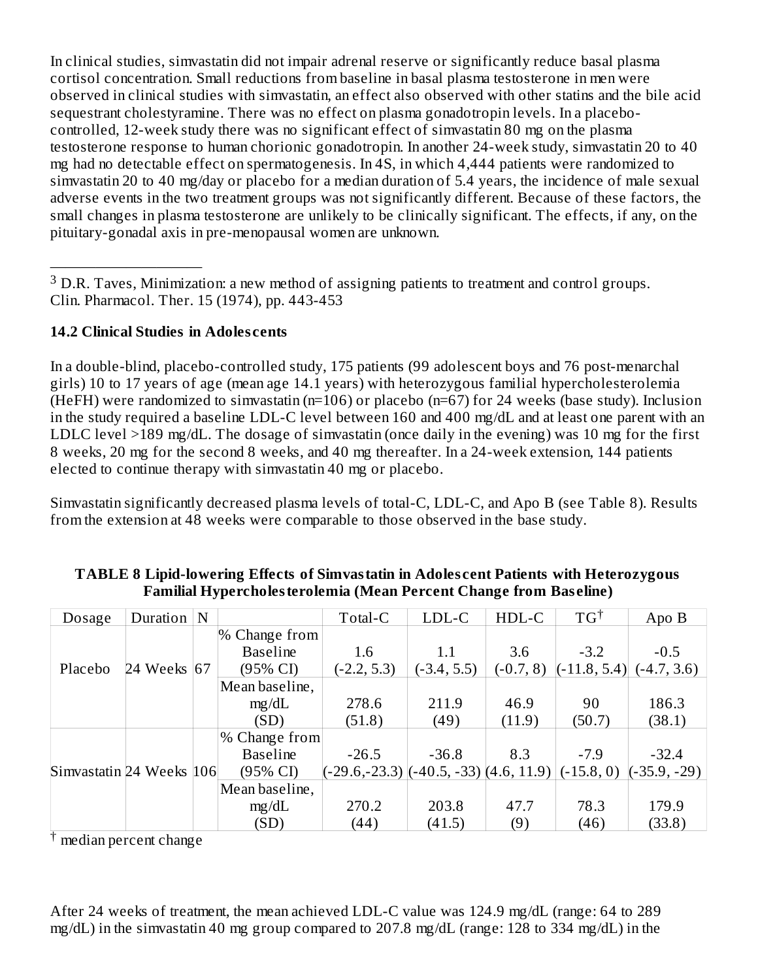In clinical studies, simvastatin did not impair adrenal reserve or significantly reduce basal plasma cortisol concentration. Small reductions from baseline in basal plasma testosterone in men were observed in clinical studies with simvastatin, an effect also observed with other statins and the bile acid sequestrant cholestyramine. There was no effect on plasma gonadotropin levels. In a placebocontrolled, 12-week study there was no significant effect of simvastatin 80 mg on the plasma testosterone response to human chorionic gonadotropin. In another 24-week study, simvastatin 20 to 40 mg had no detectable effect on spermatogenesis. In 4S, in which 4,444 patients were randomized to simvastatin 20 to 40 mg/day or placebo for a median duration of 5.4 years, the incidence of male sexual adverse events in the two treatment groups was not significantly different. Because of these factors, the small changes in plasma testosterone are unlikely to be clinically significant. The effects, if any, on the pituitary-gonadal axis in pre-menopausal women are unknown.

## **14.2 Clinical Studies in Adoles cents**

——————————

In a double-blind, placebo-controlled study, 175 patients (99 adolescent boys and 76 post-menarchal girls) 10 to 17 years of age (mean age 14.1 years) with heterozygous familial hypercholesterolemia (HeFH) were randomized to simvastatin (n=106) or placebo (n=67) for 24 weeks (base study). Inclusion in the study required a baseline LDL-C level between 160 and 400 mg/dL and at least one parent with an LDLC level >189 mg/dL. The dosage of simvastatin (once daily in the evening) was 10 mg for the first 8 weeks, 20 mg for the second 8 weeks, and 40 mg thereafter. In a 24-week extension, 144 patients elected to continue therapy with simvastatin 40 mg or placebo.

Simvastatin significantly decreased plasma levels of total-C, LDL-C, and Apo B (see Table 8). Results from the extension at 48 weeks were comparable to those observed in the base study.

| Dosage                   | Duration        | N |                     | Total-C                                     | LDL-C         | HDL-C       | $TG^{\dagger}$ | Apo B          |
|--------------------------|-----------------|---|---------------------|---------------------------------------------|---------------|-------------|----------------|----------------|
|                          |                 |   | $%$ Change from     |                                             |               |             |                |                |
|                          |                 |   | <b>Baseline</b>     | 1.6                                         | 1.1           | 3.6         | $-3.2$         | $-0.5$         |
| Placebo                  | 24 Weeks $ 67 $ |   | $(95\% \text{ CI})$ | $(-2.2, 5.3)$                               | $(-3.4, 5.5)$ | $(-0.7, 8)$ | $(-11.8, 5.4)$ | $(-4.7, 3.6)$  |
|                          |                 |   | Mean baseline,      |                                             |               |             |                |                |
|                          |                 |   | mg/dL               | 278.6                                       | 211.9         | 46.9        | 90             | 186.3          |
|                          |                 |   | (SD)                | (51.8)                                      | (49)          | (11.9)      | (50.7)         | (38.1)         |
|                          |                 |   | % Change from       |                                             |               |             |                |                |
|                          |                 |   | <b>Baseline</b>     | $-26.5$                                     | $-36.8$       | 8.3         | $-7.9$         | $-32.4$        |
| Simvastatin 24 Weeks 106 |                 |   | $(95\% \text{ CI})$ | $(-29.6,-23.3)$ $(-40.5,-33)$ $(4.6, 11.9)$ |               |             | $(-15.8, 0)$   | $(-35.9, -29)$ |
|                          |                 |   | Mean baseline,      |                                             |               |             |                |                |
|                          |                 |   | mg/dL               | 270.2                                       | 203.8         | 47.7        | 78.3           | 179.9          |
|                          |                 |   | (SD)                | (44)                                        | (41.5)        | (9)         | (46)           | (33.8)         |

| TABLE 8 Lipid-lowering Effects of Simvastatin in Adolescent Patients with Heterozygous |
|----------------------------------------------------------------------------------------|
| <b>Familial Hypercholesterolemia (Mean Percent Change from Baseline)</b>               |

<sup>†</sup> median percent change

After 24 weeks of treatment, the mean achieved LDL-C value was 124.9 mg/dL (range: 64 to 289 mg/dL) in the simvastatin 40 mg group compared to 207.8 mg/dL (range: 128 to 334 mg/dL) in the

 $3$  D.R. Taves, Minimization: a new method of assigning patients to treatment and control groups. Clin. Pharmacol. Ther. 15 (1974), pp. 443-453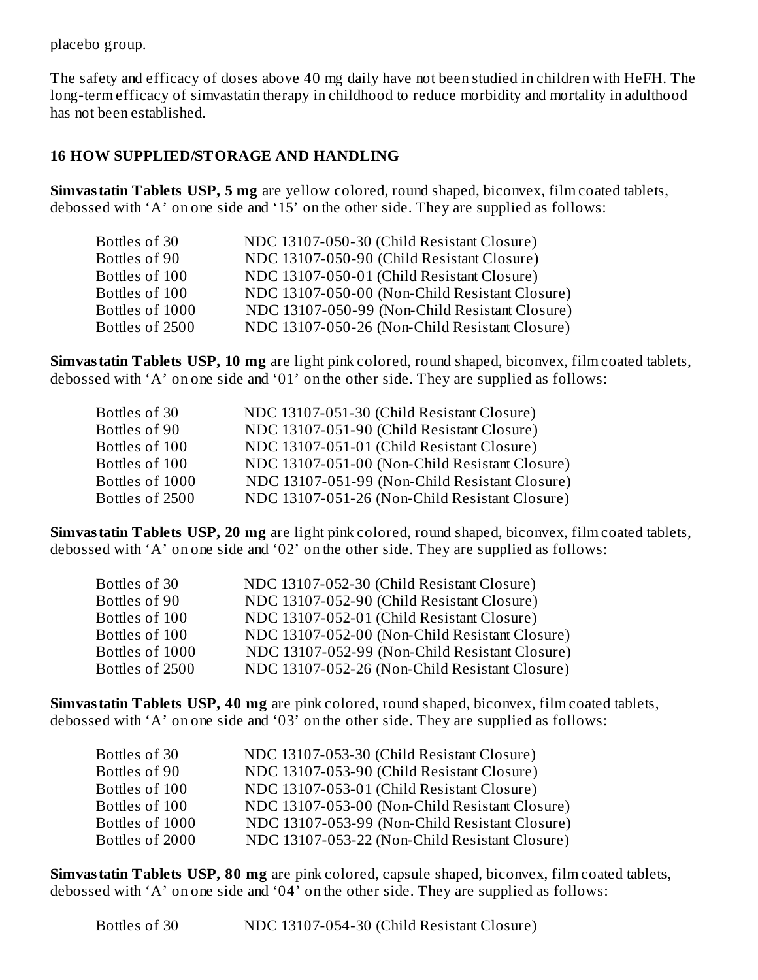placebo group.

The safety and efficacy of doses above 40 mg daily have not been studied in children with HeFH. The long-term efficacy of simvastatin therapy in childhood to reduce morbidity and mortality in adulthood has not been established.

### **16 HOW SUPPLIED/STORAGE AND HANDLING**

**Simvastatin Tablets USP, 5 mg** are yellow colored, round shaped, biconvex, film coated tablets, debossed with 'A' on one side and '15' on the other side. They are supplied as follows:

| Bottles of 30   | NDC 13107-050-30 (Child Resistant Closure)     |
|-----------------|------------------------------------------------|
| Bottles of 90   | NDC 13107-050-90 (Child Resistant Closure)     |
| Bottles of 100  | NDC 13107-050-01 (Child Resistant Closure)     |
| Bottles of 100  | NDC 13107-050-00 (Non-Child Resistant Closure) |
| Bottles of 1000 | NDC 13107-050-99 (Non-Child Resistant Closure) |
| Bottles of 2500 | NDC 13107-050-26 (Non-Child Resistant Closure) |

**Simvastatin Tablets USP, 10 mg** are light pink colored, round shaped, biconvex, film coated tablets, debossed with 'A' on one side and '01' on the other side. They are supplied as follows:

| Bottles of 30   | NDC 13107-051-30 (Child Resistant Closure)     |
|-----------------|------------------------------------------------|
| Bottles of 90   | NDC 13107-051-90 (Child Resistant Closure)     |
| Bottles of 100  | NDC 13107-051-01 (Child Resistant Closure)     |
| Bottles of 100  | NDC 13107-051-00 (Non-Child Resistant Closure) |
| Bottles of 1000 | NDC 13107-051-99 (Non-Child Resistant Closure) |
| Bottles of 2500 | NDC 13107-051-26 (Non-Child Resistant Closure) |

**Simvastatin Tablets USP, 20 mg** are light pink colored, round shaped, biconvex, film coated tablets, debossed with 'A' on one side and '02' on the other side. They are supplied as follows:

| Bottles of 30   | NDC 13107-052-30 (Child Resistant Closure)     |
|-----------------|------------------------------------------------|
| Bottles of 90   | NDC 13107-052-90 (Child Resistant Closure)     |
| Bottles of 100  | NDC 13107-052-01 (Child Resistant Closure)     |
| Bottles of 100  | NDC 13107-052-00 (Non-Child Resistant Closure) |
| Bottles of 1000 | NDC 13107-052-99 (Non-Child Resistant Closure) |
| Bottles of 2500 | NDC 13107-052-26 (Non-Child Resistant Closure) |

**Simvastatin Tablets USP, 40 mg** are pink colored, round shaped, biconvex, film coated tablets, debossed with 'A' on one side and '03' on the other side. They are supplied as follows:

| Bottles of 30   | NDC 13107-053-30 (Child Resistant Closure)     |
|-----------------|------------------------------------------------|
| Bottles of 90   | NDC 13107-053-90 (Child Resistant Closure)     |
| Bottles of 100  | NDC 13107-053-01 (Child Resistant Closure)     |
| Bottles of 100  | NDC 13107-053-00 (Non-Child Resistant Closure) |
| Bottles of 1000 | NDC 13107-053-99 (Non-Child Resistant Closure) |
| Bottles of 2000 | NDC 13107-053-22 (Non-Child Resistant Closure) |

**Simvastatin Tablets USP, 80 mg** are pink colored, capsule shaped, biconvex, film coated tablets, debossed with 'A' on one side and '04' on the other side. They are supplied as follows: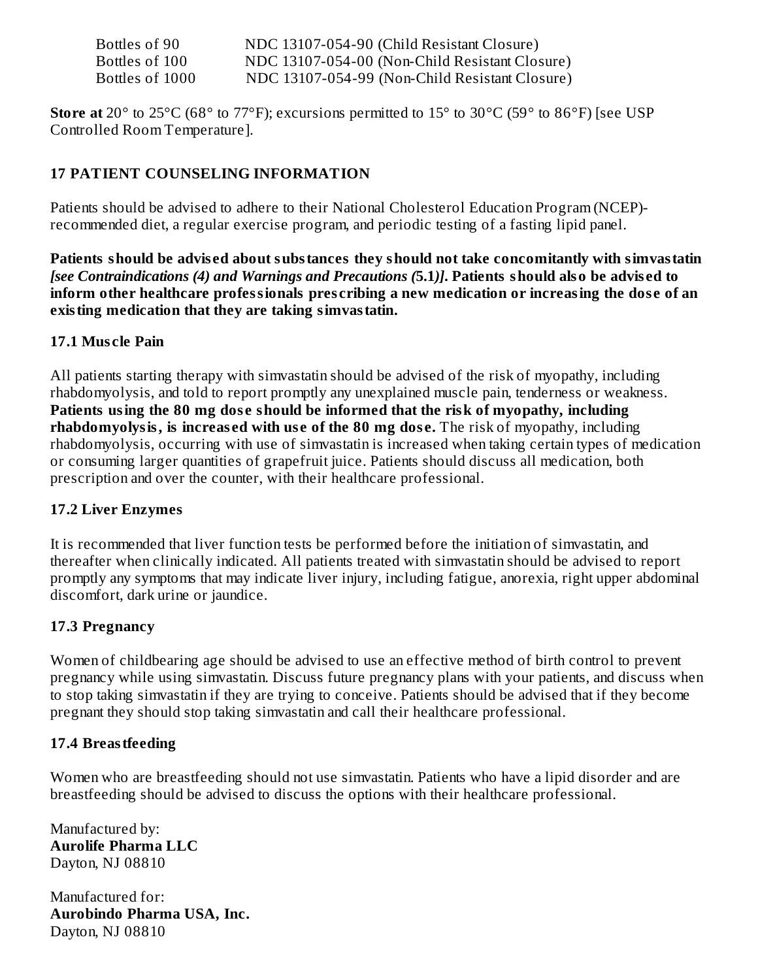| Bottles of 90   | NDC 13107-054-90 (Child Resistant Closure)     |
|-----------------|------------------------------------------------|
| Bottles of 100  | NDC 13107-054-00 (Non-Child Resistant Closure) |
| Bottles of 1000 | NDC 13107-054-99 (Non-Child Resistant Closure) |

**Store at** 20° to 25°C (68° to 77°F); excursions permitted to 15° to 30°C (59° to 86°F) [see USP Controlled Room Temperature].

# **17 PATIENT COUNSELING INFORMATION**

Patients should be advised to adhere to their National Cholesterol Education Program (NCEP) recommended diet, a regular exercise program, and periodic testing of a fasting lipid panel.

**Patients should be advis ed about substances they should not take concomitantly with simvastatin** [see Contraindications (4) and Warnings and Precautions (5.1)]. Patients should also be advised to **inform other healthcare professionals pres cribing a new medication or increasing the dos e of an existing medication that they are taking simvastatin.**

### **17.1 Mus cle Pain**

All patients starting therapy with simvastatin should be advised of the risk of myopathy, including rhabdomyolysis, and told to report promptly any unexplained muscle pain, tenderness or weakness. **Patients using the 80 mg dos e should be informed that the risk of myopathy, including rhabdomyolysis, is increas ed with us e of the 80 mg dos e.** The risk of myopathy, including rhabdomyolysis, occurring with use of simvastatin is increased when taking certain types of medication or consuming larger quantities of grapefruit juice. Patients should discuss all medication, both prescription and over the counter, with their healthcare professional.

### **17.2 Liver Enzymes**

It is recommended that liver function tests be performed before the initiation of simvastatin, and thereafter when clinically indicated. All patients treated with simvastatin should be advised to report promptly any symptoms that may indicate liver injury, including fatigue, anorexia, right upper abdominal discomfort, dark urine or jaundice.

### **17.3 Pregnancy**

Women of childbearing age should be advised to use an effective method of birth control to prevent pregnancy while using simvastatin. Discuss future pregnancy plans with your patients, and discuss when to stop taking simvastatin if they are trying to conceive. Patients should be advised that if they become pregnant they should stop taking simvastatin and call their healthcare professional.

### **17.4 Breastfeeding**

Women who are breastfeeding should not use simvastatin. Patients who have a lipid disorder and are breastfeeding should be advised to discuss the options with their healthcare professional.

Manufactured by: **Aurolife Pharma LLC** Dayton, NJ 08810

Manufactured for: **Aurobindo Pharma USA, Inc.** Dayton, NJ 08810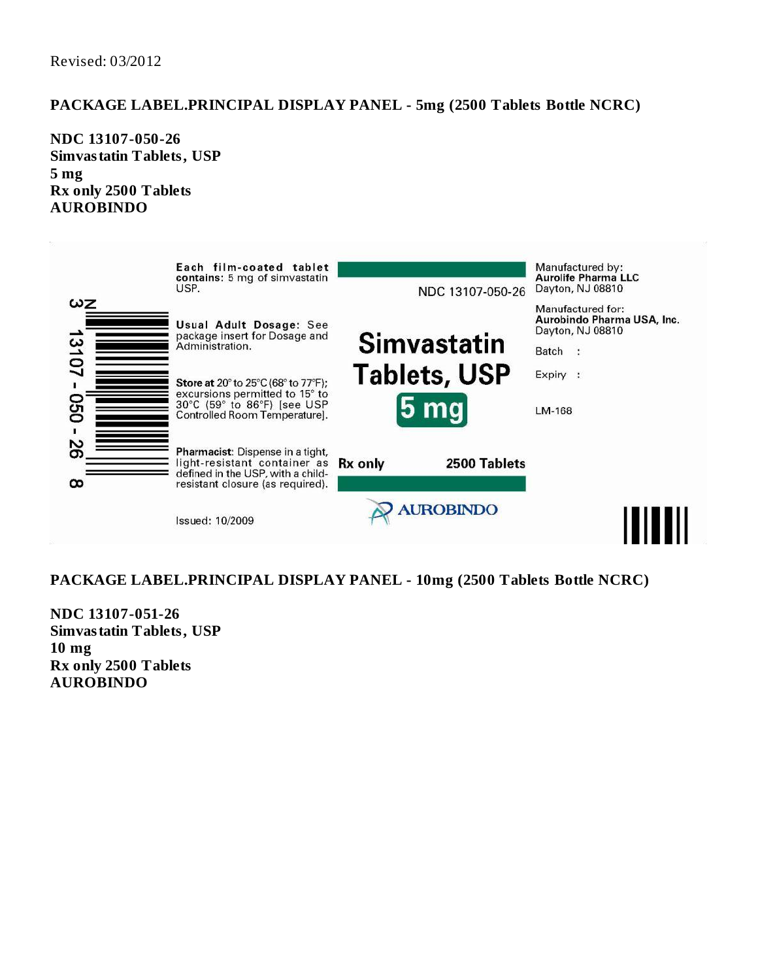### Revised: 03/2012

### **PACKAGE LABEL.PRINCIPAL DISPLAY PANEL - 5mg (2500 Tablets Bottle NCRC)**

**NDC 13107-050-26 Simvastatin Tablets, USP 5 mg Rx only 2500 Tablets AUROBINDO**



### **PACKAGE LABEL.PRINCIPAL DISPLAY PANEL - 10mg (2500 Tablets Bottle NCRC)**

**NDC 13107-051-26 Simvastatin Tablets, USP 10 mg Rx only 2500 Tablets AUROBINDO**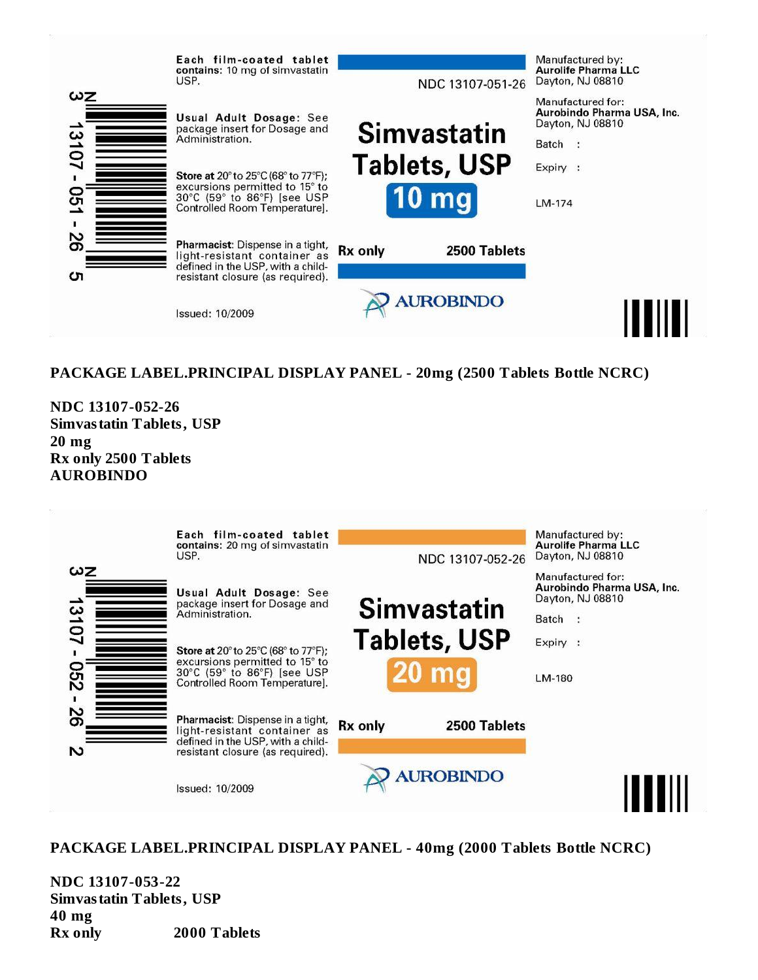

**PACKAGE LABEL.PRINCIPAL DISPLAY PANEL - 20mg (2500 Tablets Bottle NCRC)**

**NDC 13107-052-26 Simvastatin Tablets, USP 20 mg Rx only 2500 Tablets AUROBINDO**



**PACKAGE LABEL.PRINCIPAL DISPLAY PANEL - 40mg (2000 Tablets Bottle NCRC)**

**NDC 13107-053-22 Simvastatin Tablets, USP 40 mg Rx only 2000 Tablets**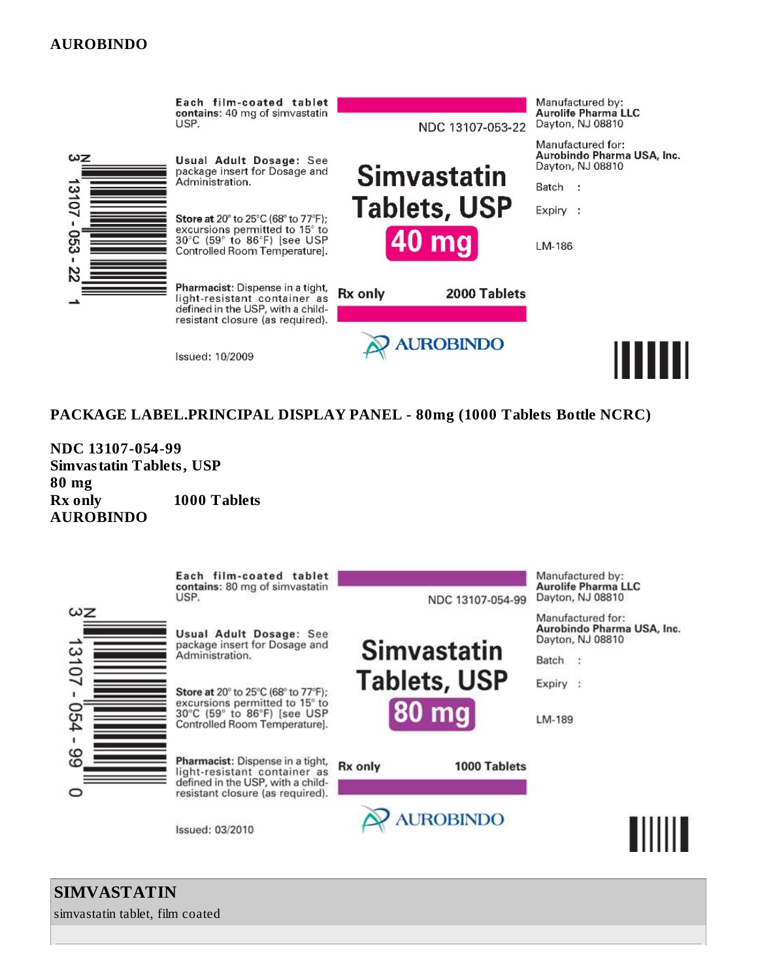

### **PACKAGE LABEL.PRINCIPAL DISPLAY PANEL - 80mg (1000 Tablets Bottle NCRC)**

**NDC 13107-054-99 Simvastatin Tablets, USP 80 mg Rx only 1000 Tablets AUROBINDO**



simvastatin tablet, film coated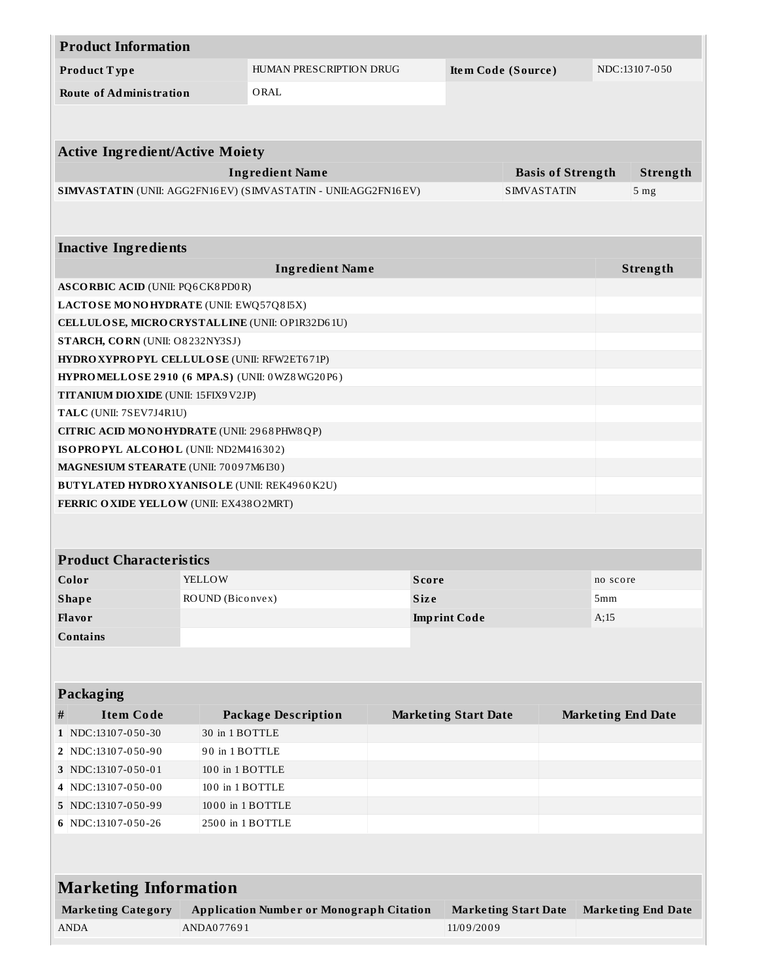| <b>Product Information</b>                                     |                  |                                                 |             |                             |                             |      |                           |
|----------------------------------------------------------------|------------------|-------------------------------------------------|-------------|-----------------------------|-----------------------------|------|---------------------------|
| Product Type                                                   |                  | HUMAN PRESCRIPTION DRUG                         |             |                             | Item Code (Source)          |      | NDC:13107-050             |
| <b>Route of Administration</b>                                 |                  | ORAL                                            |             |                             |                             |      |                           |
|                                                                |                  |                                                 |             |                             |                             |      |                           |
| <b>Active Ingredient/Active Moiety</b>                         |                  |                                                 |             |                             |                             |      |                           |
|                                                                |                  | <b>Ingredient Name</b>                          |             |                             | <b>Basis of Strength</b>    |      | Strength                  |
| SIMVASTATIN (UNII: AGG2FN16EV) (SIMVASTATIN - UNII:AGG2FN16EV) |                  |                                                 |             |                             | <b>SIMVASTATIN</b>          |      | 5 <sub>mg</sub>           |
|                                                                |                  |                                                 |             |                             |                             |      |                           |
|                                                                |                  |                                                 |             |                             |                             |      |                           |
| <b>Inactive Ingredients</b>                                    |                  |                                                 |             |                             |                             |      |                           |
|                                                                |                  | <b>Ingredient Name</b>                          |             |                             |                             |      | Strength                  |
| <b>ASCORBIC ACID (UNII: PQ6CK8PD0R)</b>                        |                  |                                                 |             |                             |                             |      |                           |
| LACTOSE MONOHYDRATE (UNII: EWQ57Q8I5X)                         |                  |                                                 |             |                             |                             |      |                           |
| CELLULOSE, MICRO CRYSTALLINE (UNII: OP1R32D61U)                |                  |                                                 |             |                             |                             |      |                           |
| STARCH, CORN (UNII: O8232NY3SJ)                                |                  |                                                 |             |                             |                             |      |                           |
| HYDRO XYPROPYL CELLULOSE (UNII: RFW2ET671P)                    |                  |                                                 |             |                             |                             |      |                           |
| HYPROMELLOSE 2910 (6 MPA.S) (UNII: 0WZ8WG20P6)                 |                  |                                                 |             |                             |                             |      |                           |
| <b>TITANIUM DIO XIDE (UNII: 15FIX9 V2JP)</b>                   |                  |                                                 |             |                             |                             |      |                           |
| TALC (UNII: 7SEV7J4R1U)                                        |                  |                                                 |             |                             |                             |      |                           |
| CITRIC ACID MONOHYDRATE (UNII: 2968PHW8QP)                     |                  |                                                 |             |                             |                             |      |                           |
| ISOPROPYL ALCOHOL (UNII: ND2M416302)                           |                  |                                                 |             |                             |                             |      |                           |
| MAGNESIUM STEARATE (UNII: 70097M6I30)                          |                  |                                                 |             |                             |                             |      |                           |
| BUTYLATED HYDRO XYANISOLE (UNII: REK4960K2U)                   |                  |                                                 |             |                             |                             |      |                           |
| <b>FERRIC OXIDE YELLOW (UNII: EX438O2MRT)</b>                  |                  |                                                 |             |                             |                             |      |                           |
|                                                                |                  |                                                 |             |                             |                             |      |                           |
|                                                                |                  |                                                 |             |                             |                             |      |                           |
| <b>Product Characteristics</b>                                 |                  |                                                 |             |                             |                             |      |                           |
| Color                                                          | <b>YELLOW</b>    |                                                 |             | <b>Score</b>                |                             |      | no score                  |
| <b>Shape</b>                                                   | ROUND (Biconvex) |                                                 | <b>Size</b> |                             |                             | 5mm  |                           |
| Flavor                                                         |                  |                                                 |             | <b>Imprint Code</b>         |                             | A;15 |                           |
| <b>Contains</b>                                                |                  |                                                 |             |                             |                             |      |                           |
|                                                                |                  |                                                 |             |                             |                             |      |                           |
|                                                                |                  |                                                 |             |                             |                             |      |                           |
| <b>Packaging</b>                                               |                  |                                                 |             |                             |                             |      |                           |
| <b>Item Code</b><br>$\#$                                       |                  | <b>Package Description</b>                      |             | <b>Marketing Start Date</b> |                             |      | <b>Marketing End Date</b> |
| 1 NDC:13107-050-30                                             | 30 in 1 BOTTLE   |                                                 |             |                             |                             |      |                           |
| 2 NDC:13107-050-90                                             | 90 in 1 BOTTLE   |                                                 |             |                             |                             |      |                           |
| 3 NDC:13107-050-01                                             | 100 in 1 BOTTLE  |                                                 |             |                             |                             |      |                           |
| NDC:13107-050-00<br>4                                          | 100 in 1 BOTTLE  |                                                 |             |                             |                             |      |                           |
| 5 NDC:13107-050-99                                             | 1000 in 1 BOTTLE |                                                 |             |                             |                             |      |                           |
| 6 NDC:13107-050-26<br>2500 in 1 BOTTLE                         |                  |                                                 |             |                             |                             |      |                           |
|                                                                |                  |                                                 |             |                             |                             |      |                           |
|                                                                |                  |                                                 |             |                             |                             |      |                           |
| <b>Marketing Information</b>                                   |                  |                                                 |             |                             |                             |      |                           |
| <b>Marketing Category</b>                                      |                  | <b>Application Number or Monograph Citation</b> |             |                             | <b>Marketing Start Date</b> |      | <b>Marketing End Date</b> |
| <b>ANDA</b>                                                    | ANDA077691       |                                                 |             | 11/09/2009                  |                             |      |                           |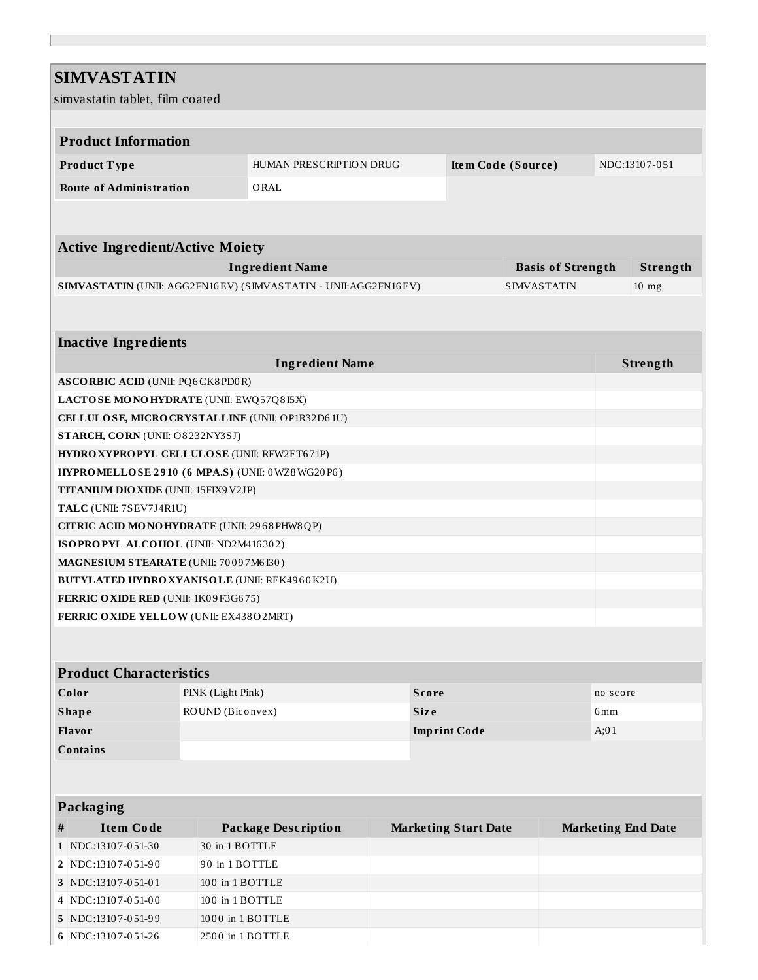| <b>SIMVASTATIN</b><br>simvastatin tablet, film coated          |                   |                            |  |                             |                          |          |                           |
|----------------------------------------------------------------|-------------------|----------------------------|--|-----------------------------|--------------------------|----------|---------------------------|
| <b>Product Information</b>                                     |                   |                            |  |                             |                          |          |                           |
| Product Type                                                   |                   | HUMAN PRESCRIPTION DRUG    |  |                             | Item Code (Source)       |          | NDC:13107-051             |
| <b>Route of Administration</b>                                 |                   | ORAL                       |  |                             |                          |          |                           |
|                                                                |                   |                            |  |                             |                          |          |                           |
| <b>Active Ingredient/Active Moiety</b>                         |                   |                            |  |                             |                          |          |                           |
|                                                                |                   | <b>Ingredient Name</b>     |  |                             | <b>Basis of Strength</b> |          | Strength                  |
| SIMVASTATIN (UNII: AGG2FN16EV) (SIMVASTATIN - UNII:AGG2FN16EV) |                   |                            |  |                             | <b>SIMVASTATIN</b>       |          | $10$ mg                   |
|                                                                |                   |                            |  |                             |                          |          |                           |
| <b>Inactive Ingredients</b>                                    |                   |                            |  |                             |                          |          |                           |
|                                                                |                   | <b>Ingredient Name</b>     |  |                             |                          |          | Strength                  |
| <b>ASCORBIC ACID (UNII: PQ6CK8PD0R)</b>                        |                   |                            |  |                             |                          |          |                           |
| LACTOSE MONOHYDRATE (UNII: EWQ57Q8I5X)                         |                   |                            |  |                             |                          |          |                           |
| CELLULOSE, MICRO CRYSTALLINE (UNII: OP1R32D61U)                |                   |                            |  |                             |                          |          |                           |
| STARCH, CORN (UNII: O8232NY3SJ)                                |                   |                            |  |                             |                          |          |                           |
| HYDROXYPROPYL CELLULOSE (UNII: RFW2ET671P)                     |                   |                            |  |                             |                          |          |                           |
| HYPROMELLOSE 2910 (6 MPA.S) (UNII: 0WZ8WG20P6)                 |                   |                            |  |                             |                          |          |                           |
| <b>TITANIUM DIO XIDE (UNII: 15FIX9V2JP)</b>                    |                   |                            |  |                             |                          |          |                           |
| TALC (UNII: 7SEV7J4R1U)                                        |                   |                            |  |                             |                          |          |                           |
| CITRIC ACID MONOHYDRATE (UNII: 2968PHW8QP)                     |                   |                            |  |                             |                          |          |                           |
| ISOPROPYL ALCOHOL (UNII: ND2M416302)                           |                   |                            |  |                             |                          |          |                           |
| MAGNESIUM STEARATE (UNII: 70097M6I30)                          |                   |                            |  |                             |                          |          |                           |
| <b>BUTYLATED HYDRO XYANISOLE (UNII: REK4960K2U)</b>            |                   |                            |  |                             |                          |          |                           |
| FERRIC OXIDE RED (UNII: 1K09F3G675)                            |                   |                            |  |                             |                          |          |                           |
| FERRIC OXIDE YELLOW (UNII: EX438O2MRT)                         |                   |                            |  |                             |                          |          |                           |
|                                                                |                   |                            |  |                             |                          |          |                           |
| <b>Product Characteristics</b>                                 |                   |                            |  |                             |                          |          |                           |
| Color                                                          | PINK (Light Pink) |                            |  | <b>Score</b>                |                          | no score |                           |
| ROUND (Biconvex)<br><b>Shape</b><br><b>Size</b><br>6mm         |                   |                            |  |                             |                          |          |                           |
| <b>Flavor</b><br>A;01<br><b>Imprint Code</b>                   |                   |                            |  |                             |                          |          |                           |
| <b>Contains</b>                                                |                   |                            |  |                             |                          |          |                           |
|                                                                |                   |                            |  |                             |                          |          |                           |
| Packaging                                                      |                   |                            |  |                             |                          |          |                           |
| <b>Item Code</b><br>#                                          |                   | <b>Package Description</b> |  | <b>Marketing Start Date</b> |                          |          | <b>Marketing End Date</b> |
| 1 NDC:13107-051-30                                             | 30 in 1 BOTTLE    |                            |  |                             |                          |          |                           |

|                    | $\sim$           | . . | $\sim$ |
|--------------------|------------------|-----|--------|
| 1 NDC:13107-051-30 | 30 in 1 BOTTLE   |     |        |
| 2 NDC:13107-051-90 | $90$ in 1 BOTTLE |     |        |
| 3 NDC:13107-051-01 | 100 in 1 BOTTLE  |     |        |
| 4 NDC:13107-051-00 | 100 in 1 BOTTLE  |     |        |
| 5 NDC:13107-051-99 | 1000 in 1 BOTTLE |     |        |
| 6 NDC:13107-051-26 | 2500 in 1 BOTTLE |     |        |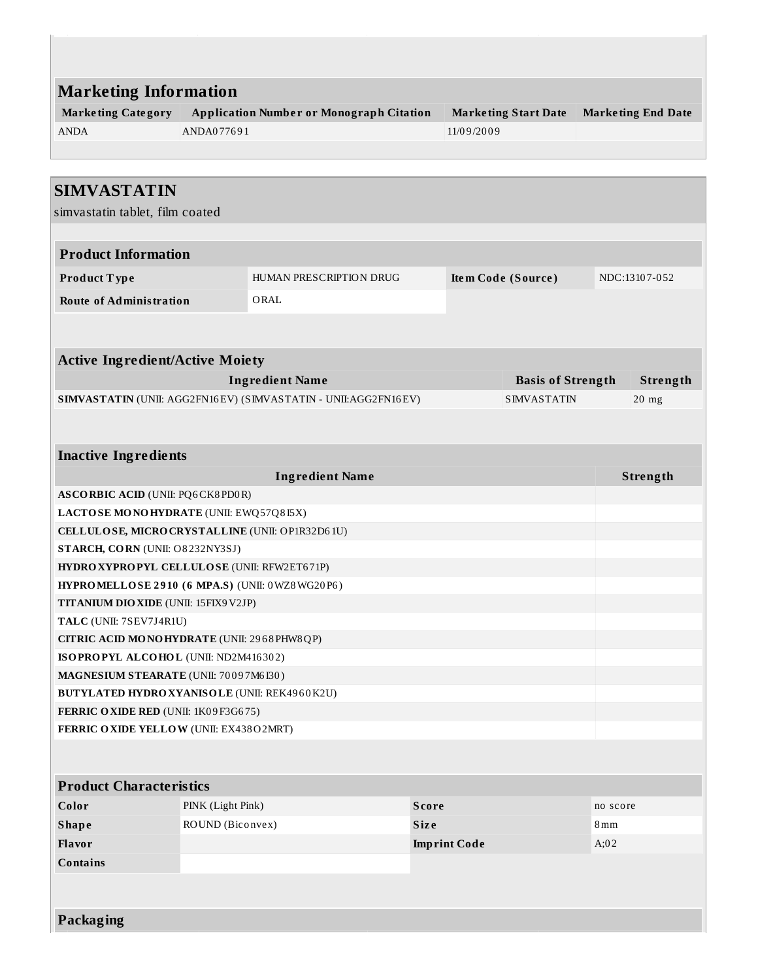| <b>Marketing Information</b>                                                                                                             |                         |                     |                          |                 |                 |  |  |  |  |
|------------------------------------------------------------------------------------------------------------------------------------------|-------------------------|---------------------|--------------------------|-----------------|-----------------|--|--|--|--|
| <b>Marketing Category</b><br><b>Application Number or Monograph Citation</b><br><b>Marketing Start Date</b><br><b>Marketing End Date</b> |                         |                     |                          |                 |                 |  |  |  |  |
| ANDA077691<br><b>ANDA</b>                                                                                                                |                         | 11/09/2009          |                          |                 |                 |  |  |  |  |
|                                                                                                                                          |                         |                     |                          |                 |                 |  |  |  |  |
|                                                                                                                                          |                         |                     |                          |                 |                 |  |  |  |  |
| <b>SIMVASTATIN</b>                                                                                                                       |                         |                     |                          |                 |                 |  |  |  |  |
| simvastatin tablet, film coated                                                                                                          |                         |                     |                          |                 |                 |  |  |  |  |
|                                                                                                                                          |                         |                     |                          |                 |                 |  |  |  |  |
| <b>Product Information</b>                                                                                                               |                         |                     |                          |                 |                 |  |  |  |  |
| Product Type                                                                                                                             | HUMAN PRESCRIPTION DRUG |                     | Item Code (Source)       |                 | NDC:13107-052   |  |  |  |  |
| <b>Route of Administration</b>                                                                                                           | ORAL                    |                     |                          |                 |                 |  |  |  |  |
|                                                                                                                                          |                         |                     |                          |                 |                 |  |  |  |  |
|                                                                                                                                          |                         |                     |                          |                 |                 |  |  |  |  |
| <b>Active Ingredient/Active Moiety</b>                                                                                                   |                         |                     |                          |                 |                 |  |  |  |  |
|                                                                                                                                          | <b>Ingredient Name</b>  |                     | <b>Basis of Strength</b> |                 | Strength        |  |  |  |  |
| SIMVASTATIN (UNII: AGG2FN16EV) (SIMVASTATIN - UNII:AGG2FN16EV)                                                                           |                         |                     | <b>SIMVASTATIN</b>       |                 | $20$ mg         |  |  |  |  |
|                                                                                                                                          |                         |                     |                          |                 |                 |  |  |  |  |
|                                                                                                                                          |                         |                     |                          |                 |                 |  |  |  |  |
| <b>Inactive Ingredients</b>                                                                                                              |                         |                     |                          |                 |                 |  |  |  |  |
|                                                                                                                                          | <b>Ingredient Name</b>  |                     |                          |                 | <b>Strength</b> |  |  |  |  |
| <b>ASCORBIC ACID (UNII: PQ6CK8PD0R)</b>                                                                                                  |                         |                     |                          |                 |                 |  |  |  |  |
| LACTOSE MONOHYDRATE (UNII: EWQ57Q8I5X)                                                                                                   |                         |                     |                          |                 |                 |  |  |  |  |
| CELLULOSE, MICRO CRYSTALLINE (UNII: OP1R32D61U)                                                                                          |                         |                     |                          |                 |                 |  |  |  |  |
| STARCH, CORN (UNII: O8232NY3SJ)                                                                                                          |                         |                     |                          |                 |                 |  |  |  |  |
| HYDRO XYPROPYL CELLULOSE (UNII: RFW2ET671P)<br>HYPROMELLOSE 2910 (6 MPA.S) (UNII: 0WZ8WG20P6)                                            |                         |                     |                          |                 |                 |  |  |  |  |
| TITANIUM DIO XIDE (UNII: 15FIX9V2JP)                                                                                                     |                         |                     |                          |                 |                 |  |  |  |  |
| TALC (UNII: 7SEV7J4R1U)                                                                                                                  |                         |                     |                          |                 |                 |  |  |  |  |
| CITRIC ACID MONOHYDRATE (UNII: 2968 PHW8 QP)                                                                                             |                         |                     |                          |                 |                 |  |  |  |  |
| ISOPROPYL ALCOHOL (UNII: ND2M416302)                                                                                                     |                         |                     |                          |                 |                 |  |  |  |  |
| MAGNESIUM STEARATE (UNII: 70097M6I30)                                                                                                    |                         |                     |                          |                 |                 |  |  |  |  |
| <b>BUTYLATED HYDRO XYANISOLE (UNII: REK4960K2U)</b>                                                                                      |                         |                     |                          |                 |                 |  |  |  |  |
| FERRIC OXIDE RED (UNII: 1K09F3G675)                                                                                                      |                         |                     |                          |                 |                 |  |  |  |  |
| FERRIC OXIDE YELLOW (UNII: EX438O2MRT)                                                                                                   |                         |                     |                          |                 |                 |  |  |  |  |
|                                                                                                                                          |                         |                     |                          |                 |                 |  |  |  |  |
|                                                                                                                                          |                         |                     |                          |                 |                 |  |  |  |  |
| <b>Product Characteristics</b>                                                                                                           |                         |                     |                          |                 |                 |  |  |  |  |
| PINK (Light Pink)<br>Color                                                                                                               |                         | Score               |                          | no score        |                 |  |  |  |  |
| ROUND (Biconvex)<br><b>Shape</b>                                                                                                         |                         | <b>Size</b>         |                          | 8 <sub>mm</sub> |                 |  |  |  |  |
| Flavor                                                                                                                                   |                         | <b>Imprint Code</b> |                          | A;02            |                 |  |  |  |  |
| <b>Contains</b>                                                                                                                          |                         |                     |                          |                 |                 |  |  |  |  |
|                                                                                                                                          |                         |                     |                          |                 |                 |  |  |  |  |
|                                                                                                                                          |                         |                     |                          |                 |                 |  |  |  |  |
| <b>Packaging</b>                                                                                                                         |                         |                     |                          |                 |                 |  |  |  |  |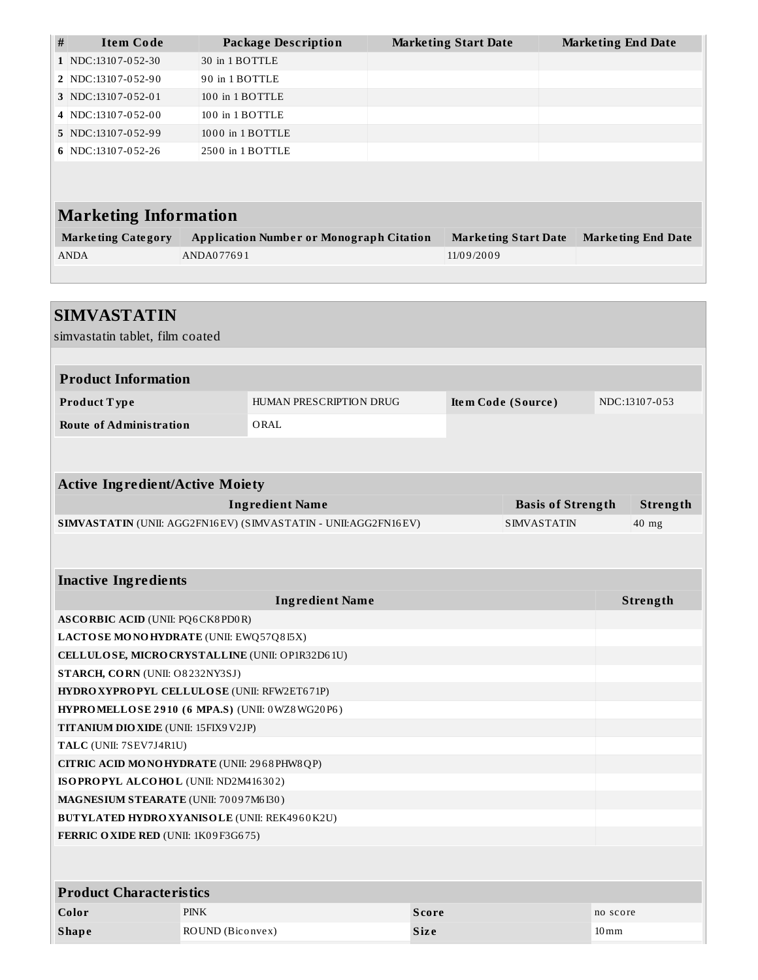| # | <b>Item Code</b>             | <b>Package Description</b>                      |  | <b>Marketing Start Date</b> |  | <b>Marketing End Date</b> |  |  |
|---|------------------------------|-------------------------------------------------|--|-----------------------------|--|---------------------------|--|--|
|   | $1$ NDC:13107-052-30         | 30 in 1 BOTTLE                                  |  |                             |  |                           |  |  |
|   | 2 NDC:13107-052-90           | 90 in 1 BOTTLE                                  |  |                             |  |                           |  |  |
|   | 3 NDC:13107-052-01           | 100 in 1 BOTTLE                                 |  |                             |  |                           |  |  |
|   | 4   NDC:13107-052-00         | 100 in 1 BOTTLE                                 |  |                             |  |                           |  |  |
|   | 5   NDC:13107-052-99         | 1000 in 1 BOTTLE                                |  |                             |  |                           |  |  |
|   | 6 NDC:13107-052-26           | 2500 in 1 BOTTLE                                |  |                             |  |                           |  |  |
|   |                              |                                                 |  |                             |  |                           |  |  |
|   |                              |                                                 |  |                             |  |                           |  |  |
|   | <b>Marketing Information</b> |                                                 |  |                             |  |                           |  |  |
|   | <b>Marketing Category</b>    | <b>Application Number or Monograph Citation</b> |  | <b>Marketing Start Date</b> |  | <b>Marketing End Date</b> |  |  |
|   | <b>ANDA</b>                  | ANDA077691                                      |  | 11/09/2009                  |  |                           |  |  |
|   |                              |                                                 |  |                             |  |                           |  |  |

| <b>SIMVASTATIN</b>                                    |                  |                                                                |              |                          |                    |               |
|-------------------------------------------------------|------------------|----------------------------------------------------------------|--------------|--------------------------|--------------------|---------------|
| simvastatin tablet, film coated                       |                  |                                                                |              |                          |                    |               |
|                                                       |                  |                                                                |              |                          |                    |               |
| <b>Product Information</b>                            |                  |                                                                |              |                          |                    |               |
| Product Type                                          |                  | HUMAN PRESCRIPTION DRUG                                        |              | Item Code (Source)       |                    | NDC:13107-053 |
| <b>Route of Administration</b>                        |                  | ORAL                                                           |              |                          |                    |               |
|                                                       |                  |                                                                |              |                          |                    |               |
|                                                       |                  |                                                                |              |                          |                    |               |
| <b>Active Ingredient/Active Moiety</b>                |                  |                                                                |              |                          |                    |               |
|                                                       |                  | <b>Ingredient Name</b>                                         |              | <b>Basis of Strength</b> |                    | Strength      |
|                                                       |                  | SIMVASTATIN (UNII: AGG2FN16EV) (SIMVASTATIN - UNII:AGG2FN16EV) |              | <b>SIMVASTATIN</b>       |                    | $40$ mg       |
|                                                       |                  |                                                                |              |                          |                    |               |
|                                                       |                  |                                                                |              |                          |                    |               |
| <b>Inactive Ingredients</b>                           |                  |                                                                |              |                          |                    |               |
|                                                       |                  | <b>Ingredient Name</b>                                         |              |                          |                    | Strength      |
| <b>ASCORBIC ACID (UNII: PQ6CK8PD0R)</b>               |                  |                                                                |              |                          |                    |               |
| LACTOSE MONOHYDRATE (UNII: EWQ57Q8I5X)                |                  |                                                                |              |                          |                    |               |
| CELLULOSE, MICRO CRYSTALLINE (UNII: OP1R32D61U)       |                  |                                                                |              |                          |                    |               |
| <b>STARCH, CORN (UNII: O8232NY3SJ)</b>                |                  |                                                                |              |                          |                    |               |
| <b>HYDRO XYPROPYL CELLULOSE (UNII: RFW2ET671P)</b>    |                  |                                                                |              |                          |                    |               |
| <b>HYPROMELLOSE 2910 (6 MPA.S)</b> (UNII: 0WZ8WG20P6) |                  |                                                                |              |                          |                    |               |
| <b>TITANIUM DIO XIDE</b> (UNII: 15FIX9 V2JP)          |                  |                                                                |              |                          |                    |               |
| TALC (UNII: 7SEV7J4R1U)                               |                  |                                                                |              |                          |                    |               |
| CITRIC ACID MONOHYDRATE (UNII: 2968 PHW8 QP)          |                  |                                                                |              |                          |                    |               |
| ISOPROPYL ALCOHOL (UNII: ND2M416302)                  |                  |                                                                |              |                          |                    |               |
| MAGNESIUM STEARATE (UNII: 70097M6I30)                 |                  |                                                                |              |                          |                    |               |
| <b>BUTYLATED HYDRO XYANISOLE (UNII: REK4960K2U)</b>   |                  |                                                                |              |                          |                    |               |
| <b>FERRIC OXIDE RED (UNII: 1K09F3G675)</b>            |                  |                                                                |              |                          |                    |               |
|                                                       |                  |                                                                |              |                          |                    |               |
| <b>Product Characteristics</b>                        |                  |                                                                |              |                          |                    |               |
| Color                                                 | <b>PINK</b>      |                                                                | <b>Score</b> |                          | no score           |               |
| <b>Shape</b>                                          | ROUND (Biconvex) |                                                                | <b>Size</b>  |                          | $10 \,\mathrm{mm}$ |               |
|                                                       |                  |                                                                |              |                          |                    |               |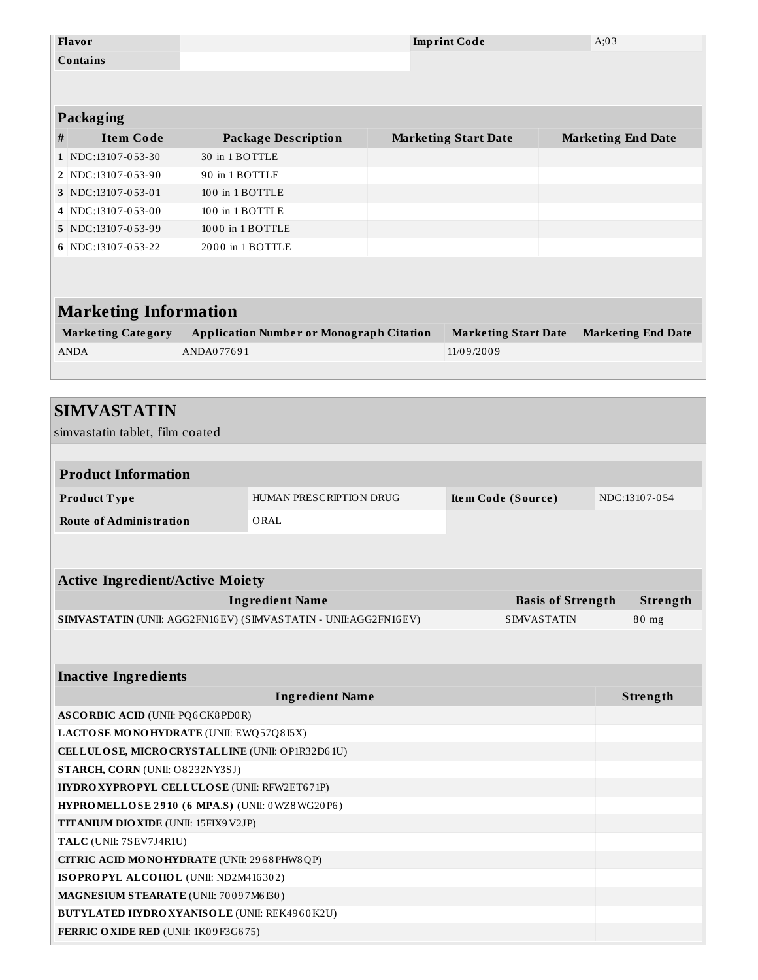| Flavor                                                                                       |                  |                                                 |                    | <b>Imprint Code</b>         |                    | A;03 |                           |
|----------------------------------------------------------------------------------------------|------------------|-------------------------------------------------|--------------------|-----------------------------|--------------------|------|---------------------------|
| <b>Contains</b>                                                                              |                  |                                                 |                    |                             |                    |      |                           |
|                                                                                              |                  |                                                 |                    |                             |                    |      |                           |
|                                                                                              |                  |                                                 |                    |                             |                    |      |                           |
| Packaging                                                                                    |                  |                                                 |                    |                             |                    |      |                           |
| <b>Item Code</b><br>#                                                                        |                  | <b>Package Description</b>                      |                    | <b>Marketing Start Date</b> |                    |      | <b>Marketing End Date</b> |
| 1 NDC:13107-053-30                                                                           | 30 in 1 BOTTLE   |                                                 |                    |                             |                    |      |                           |
| 2 NDC:13107-053-90                                                                           | 90 in 1 BOTTLE   |                                                 |                    |                             |                    |      |                           |
| 3 NDC:13107-053-01                                                                           | 100 in 1 BOTTLE  |                                                 |                    |                             |                    |      |                           |
| 4 NDC:13107-053-00                                                                           | 100 in 1 BOTTLE  |                                                 |                    |                             |                    |      |                           |
| 5   NDC:13107-053-99                                                                         | 1000 in 1 BOTTLE |                                                 |                    |                             |                    |      |                           |
| 6 NDC:13107-053-22                                                                           | 2000 in 1 BOTTLE |                                                 |                    |                             |                    |      |                           |
|                                                                                              |                  |                                                 |                    |                             |                    |      |                           |
|                                                                                              |                  |                                                 |                    |                             |                    |      |                           |
| <b>Marketing Information</b>                                                                 |                  |                                                 |                    |                             |                    |      |                           |
| <b>Marketing Category</b>                                                                    |                  | <b>Application Number or Monograph Citation</b> |                    | <b>Marketing Start Date</b> |                    |      | <b>Marketing End Date</b> |
| <b>ANDA</b>                                                                                  | ANDA077691       |                                                 |                    | 11/09/2009                  |                    |      |                           |
|                                                                                              |                  |                                                 |                    |                             |                    |      |                           |
|                                                                                              |                  |                                                 |                    |                             |                    |      |                           |
| <b>SIMVASTATIN</b>                                                                           |                  |                                                 |                    |                             |                    |      |                           |
| simvastatin tablet, film coated                                                              |                  |                                                 |                    |                             |                    |      |                           |
|                                                                                              |                  |                                                 |                    |                             |                    |      |                           |
| <b>Product Information</b>                                                                   |                  |                                                 |                    |                             |                    |      |                           |
| Product Type<br>HUMAN PRESCRIPTION DRUG                                                      |                  |                                                 | Item Code (Source) |                             |                    |      | NDC:13107-054             |
| <b>Route of Administration</b>                                                               |                  | ORAL                                            |                    |                             |                    |      |                           |
|                                                                                              |                  |                                                 |                    |                             |                    |      |                           |
|                                                                                              |                  |                                                 |                    |                             |                    |      |                           |
|                                                                                              |                  |                                                 |                    |                             |                    |      |                           |
| <b>Active Ingredient/Active Moiety</b><br><b>Ingredient Name</b><br><b>Basis of Strength</b> |                  |                                                 |                    |                             |                    |      |                           |
|                                                                                              |                  |                                                 |                    |                             | <b>SIMVASTATIN</b> |      | Strength                  |
| SIMVASTATIN (UNII: AGG2FN16EV) (SIMVASTATIN - UNII: AGG2FN16EV)                              |                  |                                                 |                    |                             |                    |      | 80 mg                     |
|                                                                                              |                  |                                                 |                    |                             |                    |      |                           |
| <b>Inactive Ingredients</b>                                                                  |                  |                                                 |                    |                             |                    |      |                           |
| <b>Ingredient Name</b><br>Strength                                                           |                  |                                                 |                    |                             |                    |      |                           |
| <b>ASCORBIC ACID (UNII: PQ6CK8PD0R)</b>                                                      |                  |                                                 |                    |                             |                    |      |                           |
| LACTOSE MONOHYDRATE (UNII: EWQ57Q8I5X)                                                       |                  |                                                 |                    |                             |                    |      |                           |
| CELLULOSE, MICRO CRYSTALLINE (UNII: OP1R32D61U)                                              |                  |                                                 |                    |                             |                    |      |                           |
| STARCH, CORN (UNII: O8232NY3SJ)                                                              |                  |                                                 |                    |                             |                    |      |                           |
| HYDRO XYPROPYL CELLULOSE (UNII: RFW2ET671P)                                                  |                  |                                                 |                    |                             |                    |      |                           |
| HYPROMELLOSE 2910 (6 MPA.S) (UNII: 0WZ8WG20P6)                                               |                  |                                                 |                    |                             |                    |      |                           |
| TITANIUM DIO XIDE (UNII: 15FIX9 V2JP)                                                        |                  |                                                 |                    |                             |                    |      |                           |
| TALC (UNII: 7SEV7J4R1U)                                                                      |                  |                                                 |                    |                             |                    |      |                           |
|                                                                                              |                  |                                                 |                    |                             |                    |      |                           |

**CITRIC ACID MONOHYDRATE** (UNII: 29 6 8 PHW8QP) **ISOPROPYL ALCOHOL** (UNII: ND2M416 30 2) **MAGNESIUM STEARATE** (UNII: 70 0 9 7M6 I30 ) **BUTYLATED HYDROXYANISOLE** (UNII: REK49 6 0K2U) **FERRIC OXIDE RED** (UNII: 1K0 9 F3G6 75)